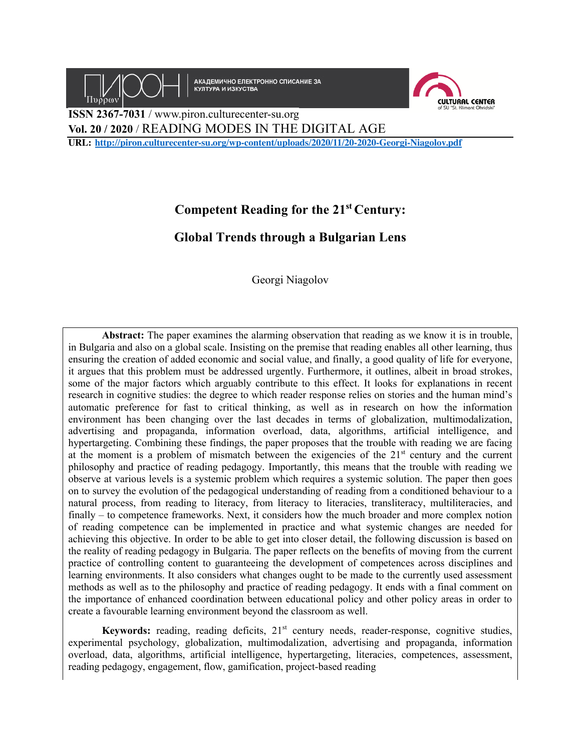

# **Competent Reading for the 21st Century:**

# **Global Trends through a Bulgarian Lens**

Georgi Niagolov

**Abstract:** The paper examines the alarming observation that reading as we know it is in trouble, in Bulgaria and also on a global scale. Insisting on the premise that reading enables all other learning, thus ensuring the creation of added economic and social value, and finally, a good quality of life for everyone, it argues that this problem must be addressed urgently. Furthermore, it outlines, albeit in broad strokes, some of the major factors which arguably contribute to this effect. It looks for explanations in recent research in cognitive studies: the degree to which reader response relies on stories and the human mind's automatic preference for fast to critical thinking, as well as in research on how the information environment has been changing over the last decades in terms of globalization, multimodalization, advertising and propaganda, information overload, data, algorithms, artificial intelligence, and hypertargeting. Combining these findings, the paper proposes that the trouble with reading we are facing at the moment is a problem of mismatch between the exigencies of the  $21<sup>st</sup>$  century and the current philosophy and practice of reading pedagogy. Importantly, this means that the trouble with reading we observe at various levels is a systemic problem which requires a systemic solution. The paper then goes on to survey the evolution of the pedagogical understanding of reading from a conditioned behaviour to a natural process, from reading to literacy, from literacy to literacies, transliteracy, multiliteracies, and finally – to competence frameworks. Next, it considers how the much broader and more complex notion of reading competence can be implemented in practice and what systemic changes are needed for achieving this objective. In order to be able to get into closer detail, the following discussion is based on the reality of reading pedagogy in Bulgaria. The paper reflects on the benefits of moving from the current practice of controlling content to guaranteeing the development of competences across disciplines and learning environments. It also considers what changes ought to be made to the currently used assessment methods as well as to the philosophy and practice of reading pedagogy. It ends with a final comment on the importance of enhanced coordination between educational policy and other policy areas in order to create a favourable learning environment beyond the classroom as well.

Keywords: reading, reading deficits, 21<sup>st</sup> century needs, reader-response, cognitive studies, experimental psychology, globalization, multimodalization, advertising and propaganda, information overload, data, algorithms, artificial intelligence, hypertargeting, literacies, competences, assessment, reading pedagogy, engagement, flow, gamification, project-based reading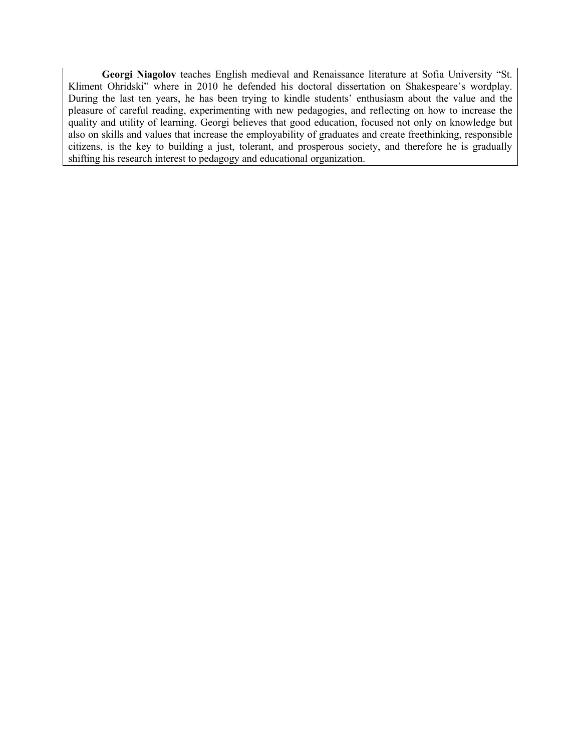**Georgi Niagolov** teaches English medieval and Renaissance literature at Sofia University "St. Kliment Ohridski" where in 2010 he defended his doctoral dissertation on Shakespeare's wordplay. During the last ten years, he has been trying to kindle students' enthusiasm about the value and the pleasure of careful reading, experimenting with new pedagogies, and reflecting on how to increase the quality and utility of learning. Georgi believes that good education, focused not only on knowledge but also on skills and values that increase the employability of graduates and create freethinking, responsible citizens, is the key to building a just, tolerant, and prosperous society, and therefore he is gradually shifting his research interest to pedagogy and educational organization.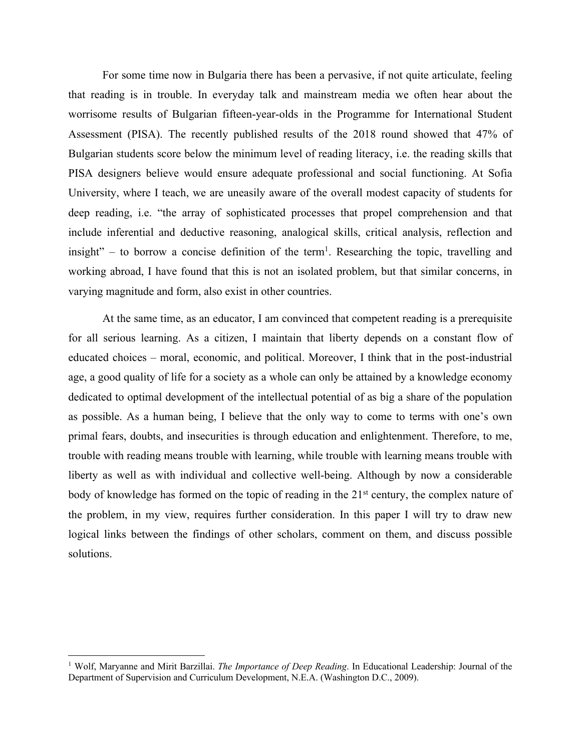For some time now in Bulgaria there has been a pervasive, if not quite articulate, feeling that reading is in trouble. In everyday talk and mainstream media we often hear about the worrisome results of Bulgarian fifteen-year-olds in the Programme for International Student Assessment (PISA). The recently published results of the 2018 round showed that 47% of Bulgarian students score below the minimum level of reading literacy, i.e. the reading skills that PISA designers believe would ensure adequate professional and social functioning. At Sofia University, where I teach, we are uneasily aware of the overall modest capacity of students for deep reading, i.e. "the array of sophisticated processes that propel comprehension and that include inferential and deductive reasoning, analogical skills, critical analysis, reflection and insight" – to borrow a concise definition of the term<sup>1</sup>. Researching the topic, travelling and working abroad, I have found that this is not an isolated problem, but that similar concerns, in varying magnitude and form, also exist in other countries.

At the same time, as an educator, I am convinced that competent reading is a prerequisite for all serious learning. As a citizen, I maintain that liberty depends on a constant flow of educated choices – moral, economic, and political. Moreover, I think that in the post-industrial age, a good quality of life for a society as a whole can only be attained by a knowledge economy dedicated to optimal development of the intellectual potential of as big a share of the population as possible. As a human being, I believe that the only way to come to terms with one's own primal fears, doubts, and insecurities is through education and enlightenment. Therefore, to me, trouble with reading means trouble with learning, while trouble with learning means trouble with liberty as well as with individual and collective well-being. Although by now a considerable body of knowledge has formed on the topic of reading in the 21<sup>st</sup> century, the complex nature of the problem, in my view, requires further consideration. In this paper I will try to draw new logical links between the findings of other scholars, comment on them, and discuss possible solutions.

<sup>1</sup> Wolf, Maryanne and Mirit Barzillai. *The Importance of Deep Reading*. In Educational Leadership: Journal of the Department of Supervision and Curriculum Development, N.E.A. (Washington D.C., 2009).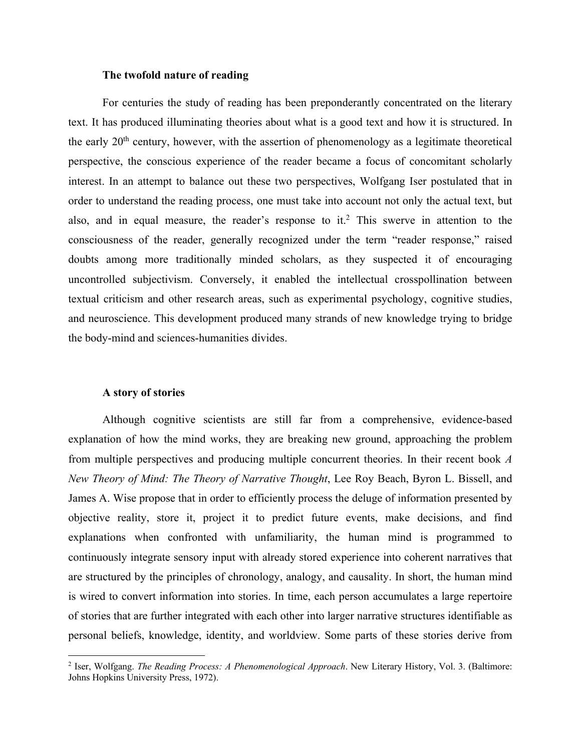# **The twofold nature of reading**

For centuries the study of reading has been preponderantly concentrated on the literary text. It has produced illuminating theories about what is a good text and how it is structured. In the early  $20<sup>th</sup>$  century, however, with the assertion of phenomenology as a legitimate theoretical perspective, the conscious experience of the reader became a focus of concomitant scholarly interest. In an attempt to balance out these two perspectives, Wolfgang Iser postulated that in order to understand the reading process, one must take into account not only the actual text, but also, and in equal measure, the reader's response to it.<sup>2</sup> This swerve in attention to the consciousness of the reader, generally recognized under the term "reader response," raised doubts among more traditionally minded scholars, as they suspected it of encouraging uncontrolled subjectivism. Conversely, it enabled the intellectual crosspollination between textual criticism and other research areas, such as experimental psychology, cognitive studies, and neuroscience. This development produced many strands of new knowledge trying to bridge the body-mind and sciences-humanities divides.

#### **A story of stories**

Although cognitive scientists are still far from a comprehensive, evidence-based explanation of how the mind works, they are breaking new ground, approaching the problem from multiple perspectives and producing multiple concurrent theories. In their recent book *A New Theory of Mind: The Theory of Narrative Thought*, Lee Roy Beach, Byron L. Bissell, and James A. Wise propose that in order to efficiently process the deluge of information presented by objective reality, store it, project it to predict future events, make decisions, and find explanations when confronted with unfamiliarity, the human mind is programmed to continuously integrate sensory input with already stored experience into coherent narratives that are structured by the principles of chronology, analogy, and causality. In short, the human mind is wired to convert information into stories. In time, each person accumulates a large repertoire of stories that are further integrated with each other into larger narrative structures identifiable as personal beliefs, knowledge, identity, and worldview. Some parts of these stories derive from

<sup>2</sup> Iser, Wolfgang. *The Reading Process: A Phenomenological Approach*. New Literary History, Vol. 3. (Baltimore: Johns Hopkins University Press, 1972).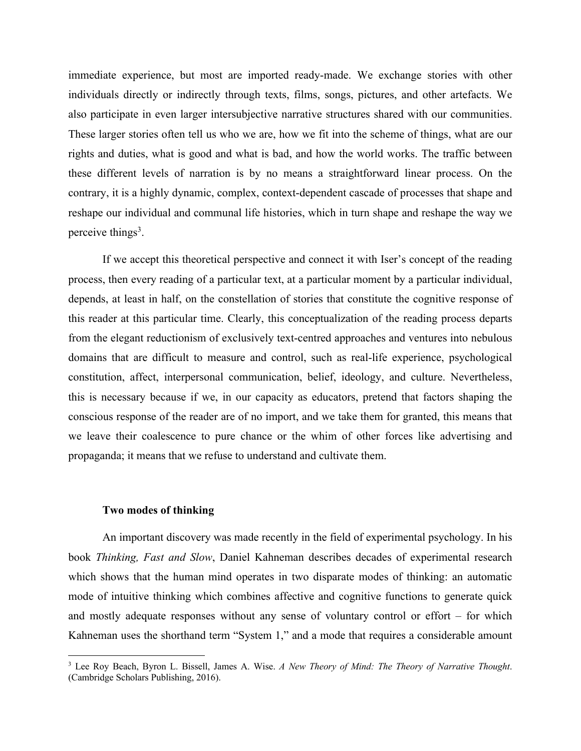immediate experience, but most are imported ready-made. We exchange stories with other individuals directly or indirectly through texts, films, songs, pictures, and other artefacts. We also participate in even larger intersubjective narrative structures shared with our communities. These larger stories often tell us who we are, how we fit into the scheme of things, what are our rights and duties, what is good and what is bad, and how the world works. The traffic between these different levels of narration is by no means a straightforward linear process. On the contrary, it is a highly dynamic, complex, context-dependent cascade of processes that shape and reshape our individual and communal life histories, which in turn shape and reshape the way we perceive things<sup>3</sup>.

If we accept this theoretical perspective and connect it with Iser's concept of the reading process, then every reading of a particular text, at a particular moment by a particular individual, depends, at least in half, on the constellation of stories that constitute the cognitive response of this reader at this particular time. Clearly, this conceptualization of the reading process departs from the elegant reductionism of exclusively text-centred approaches and ventures into nebulous domains that are difficult to measure and control, such as real-life experience, psychological constitution, affect, interpersonal communication, belief, ideology, and culture. Nevertheless, this is necessary because if we, in our capacity as educators, pretend that factors shaping the conscious response of the reader are of no import, and we take them for granted, this means that we leave their coalescence to pure chance or the whim of other forces like advertising and propaganda; it means that we refuse to understand and cultivate them.

## **Two modes of thinking**

An important discovery was made recently in the field of experimental psychology. In his book *Thinking, Fast and Slow*, Daniel Kahneman describes decades of experimental research which shows that the human mind operates in two disparate modes of thinking: an automatic mode of intuitive thinking which combines affective and cognitive functions to generate quick and mostly adequate responses without any sense of voluntary control or effort – for which Kahneman uses the shorthand term "System 1," and a mode that requires a considerable amount

<sup>3</sup> Lee Roy Beach, Byron L. Bissell, James A. Wise. *A New Theory of Mind: The Theory of Narrative Thought*. (Cambridge Scholars Publishing, 2016).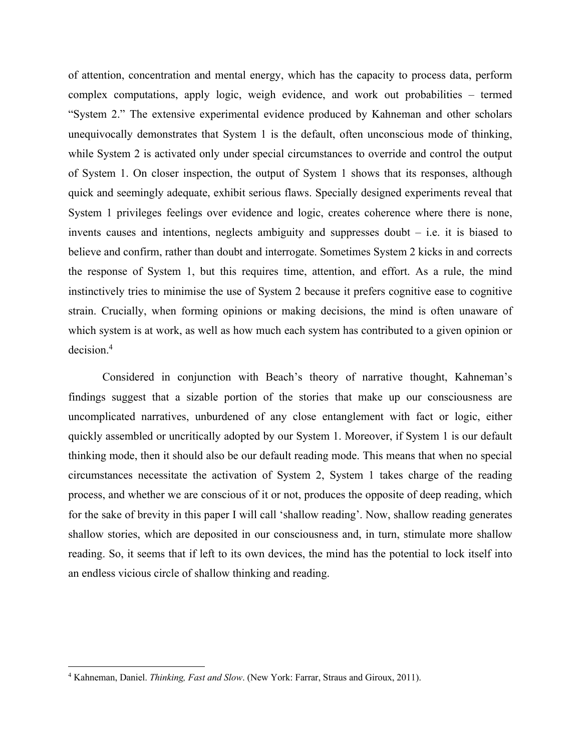of attention, concentration and mental energy, which has the capacity to process data, perform complex computations, apply logic, weigh evidence, and work out probabilities – termed "System 2." The extensive experimental evidence produced by Kahneman and other scholars unequivocally demonstrates that System 1 is the default, often unconscious mode of thinking, while System 2 is activated only under special circumstances to override and control the output of System 1. On closer inspection, the output of System 1 shows that its responses, although quick and seemingly adequate, exhibit serious flaws. Specially designed experiments reveal that System 1 privileges feelings over evidence and logic, creates coherence where there is none, invents causes and intentions, neglects ambiguity and suppresses doubt – i.e. it is biased to believe and confirm, rather than doubt and interrogate. Sometimes System 2 kicks in and corrects the response of System 1, but this requires time, attention, and effort. As a rule, the mind instinctively tries to minimise the use of System 2 because it prefers cognitive ease to cognitive strain. Crucially, when forming opinions or making decisions, the mind is often unaware of which system is at work, as well as how much each system has contributed to a given opinion or decision. 4

Considered in conjunction with Beach's theory of narrative thought, Kahneman's findings suggest that a sizable portion of the stories that make up our consciousness are uncomplicated narratives, unburdened of any close entanglement with fact or logic, either quickly assembled or uncritically adopted by our System 1. Moreover, if System 1 is our default thinking mode, then it should also be our default reading mode. This means that when no special circumstances necessitate the activation of System 2, System 1 takes charge of the reading process, and whether we are conscious of it or not, produces the opposite of deep reading, which for the sake of brevity in this paper I will call 'shallow reading'. Now, shallow reading generates shallow stories, which are deposited in our consciousness and, in turn, stimulate more shallow reading. So, it seems that if left to its own devices, the mind has the potential to lock itself into an endless vicious circle of shallow thinking and reading.

<sup>4</sup> Kahneman, Daniel. *Thinking, Fast and Slow*. (New York: Farrar, Straus and Giroux, 2011).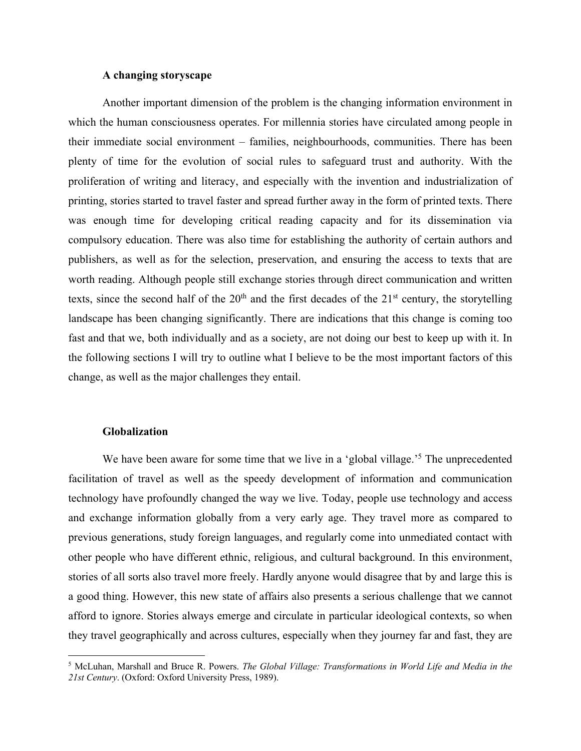## **A changing storyscape**

Another important dimension of the problem is the changing information environment in which the human consciousness operates. For millennia stories have circulated among people in their immediate social environment – families, neighbourhoods, communities. There has been plenty of time for the evolution of social rules to safeguard trust and authority. With the proliferation of writing and literacy, and especially with the invention and industrialization of printing, stories started to travel faster and spread further away in the form of printed texts. There was enough time for developing critical reading capacity and for its dissemination via compulsory education. There was also time for establishing the authority of certain authors and publishers, as well as for the selection, preservation, and ensuring the access to texts that are worth reading. Although people still exchange stories through direct communication and written texts, since the second half of the  $20<sup>th</sup>$  and the first decades of the  $21<sup>st</sup>$  century, the storytelling landscape has been changing significantly. There are indications that this change is coming too fast and that we, both individually and as a society, are not doing our best to keep up with it. In the following sections I will try to outline what I believe to be the most important factors of this change, as well as the major challenges they entail.

#### **Globalization**

We have been aware for some time that we live in a 'global village.<sup>5</sup> The unprecedented facilitation of travel as well as the speedy development of information and communication technology have profoundly changed the way we live. Today, people use technology and access and exchange information globally from a very early age. They travel more as compared to previous generations, study foreign languages, and regularly come into unmediated contact with other people who have different ethnic, religious, and cultural background. In this environment, stories of all sorts also travel more freely. Hardly anyone would disagree that by and large this is a good thing. However, this new state of affairs also presents a serious challenge that we cannot afford to ignore. Stories always emerge and circulate in particular ideological contexts, so when they travel geographically and across cultures, especially when they journey far and fast, they are

<sup>5</sup> McLuhan, Marshall and Bruce R. Powers. *The Global Village: Transformations in World Life and Media in the 21st Century*. (Oxford: Oxford University Press, 1989).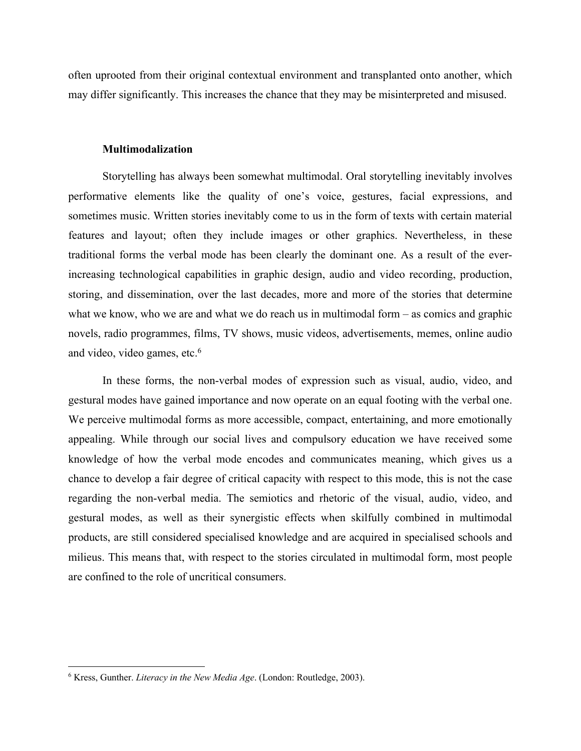often uprooted from their original contextual environment and transplanted onto another, which may differ significantly. This increases the chance that they may be misinterpreted and misused.

#### **Multimodalization**

Storytelling has always been somewhat multimodal. Oral storytelling inevitably involves performative elements like the quality of one's voice, gestures, facial expressions, and sometimes music. Written stories inevitably come to us in the form of texts with certain material features and layout; often they include images or other graphics. Nevertheless, in these traditional forms the verbal mode has been clearly the dominant one. As a result of the everincreasing technological capabilities in graphic design, audio and video recording, production, storing, and dissemination, over the last decades, more and more of the stories that determine what we know, who we are and what we do reach us in multimodal form – as comics and graphic novels, radio programmes, films, TV shows, music videos, advertisements, memes, online audio and video, video games, etc. 6

In these forms, the non-verbal modes of expression such as visual, audio, video, and gestural modes have gained importance and now operate on an equal footing with the verbal one. We perceive multimodal forms as more accessible, compact, entertaining, and more emotionally appealing. While through our social lives and compulsory education we have received some knowledge of how the verbal mode encodes and communicates meaning, which gives us a chance to develop a fair degree of critical capacity with respect to this mode, this is not the case regarding the non-verbal media. The semiotics and rhetoric of the visual, audio, video, and gestural modes, as well as their synergistic effects when skilfully combined in multimodal products, are still considered specialised knowledge and are acquired in specialised schools and milieus. This means that, with respect to the stories circulated in multimodal form, most people are confined to the role of uncritical consumers.

<sup>6</sup> Kress, Gunther. *Literacy in the New Media Age*. (London: Routledge, 2003).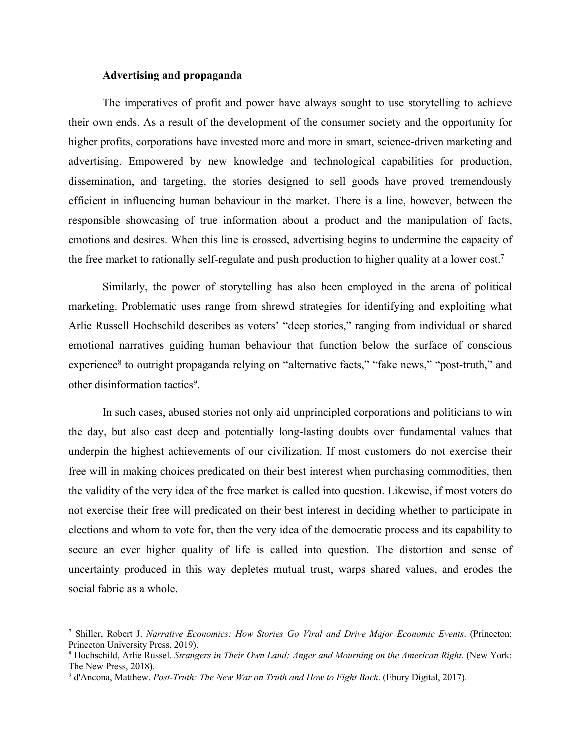#### **Advertising and propaganda**

The imperatives of profit and power have always sought to use storytelling to achieve their own ends. As a result of the development of the consumer society and the opportunity for higher profits, corporations have invested more and more in smart, science-driven marketing and advertising. Empowered by new knowledge and technological capabilities for production, dissemination, and targeting, the stories designed to sell goods have proved tremendously efficient in influencing human behaviour in the market. There is a line, however, between the responsible showcasing of true information about a product and the manipulation of facts, emotions and desires. When this line is crossed, advertising begins to undermine the capacity of the free market to rationally self-regulate and push production to higher quality at a lower cost.<sup>7</sup>

Similarly, the power of storytelling has also been employed in the arena of political marketing. Problematic uses range from shrewd strategies for identifying and exploiting what Arlie Russell Hochschild describes as voters' "deep stories," ranging from individual or shared emotional narratives guiding human behaviour that function below the surface of conscious experience<sup>8</sup> to outright propaganda relying on "alternative facts," "fake news," "post-truth," and other disinformation tactics<sup>9</sup>.

In such cases, abused stories not only aid unprincipled corporations and politicians to win the day, but also cast deep and potentially long-lasting doubts over fundamental values that underpin the highest achievements of our civilization. If most customers do not exercise their free will in making choices predicated on their best interest when purchasing commodities, then the validity of the very idea of the free market is called into question. Likewise, if most voters do not exercise their free will predicated on their best interest in deciding whether to participate in elections and whom to vote for, then the very idea of the democratic process and its capability to secure an ever higher quality of life is called into question. The distortion and sense of uncertainty produced in this way depletes mutual trust, warps shared values, and erodes the social fabric as a whole.

<sup>7</sup> Shiller, Robert J. *Narrative Economics: How Stories Go Viral and Drive Major Economic Events*. (Princeton: Princeton University Press, 2019).

<sup>8</sup> Hochschild, Arlie Russel. *Strangers in Their Own Land: Anger and Mourning on the American Right*. (New York: The New Press, 2018).

<sup>9</sup> d'Ancona, Matthew. *Post-Truth: The New War on Truth and How to Fight Back*. (Ebury Digital, 2017).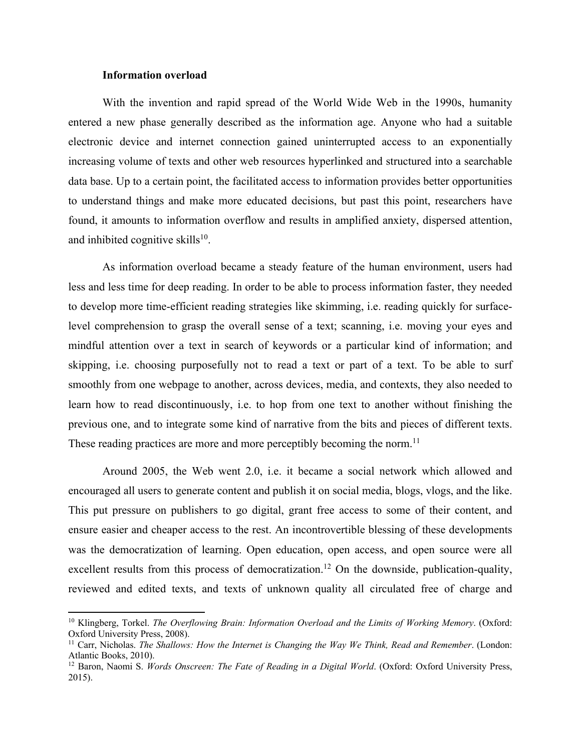# **Information overload**

With the invention and rapid spread of the World Wide Web in the 1990s, humanity entered a new phase generally described as the information age. Anyone who had a suitable electronic device and internet connection gained uninterrupted access to an exponentially increasing volume of texts and other web resources hyperlinked and structured into a searchable data base. Up to a certain point, the facilitated access to information provides better opportunities to understand things and make more educated decisions, but past this point, researchers have found, it amounts to information overflow and results in amplified anxiety, dispersed attention, and inhibited cognitive skills $10$ .

As information overload became a steady feature of the human environment, users had less and less time for deep reading. In order to be able to process information faster, they needed to develop more time-efficient reading strategies like skimming, i.e. reading quickly for surfacelevel comprehension to grasp the overall sense of a text; scanning, i.e. moving your eyes and mindful attention over a text in search of keywords or a particular kind of information; and skipping, i.e. choosing purposefully not to read a text or part of a text. To be able to surf smoothly from one webpage to another, across devices, media, and contexts, they also needed to learn how to read discontinuously, i.e. to hop from one text to another without finishing the previous one, and to integrate some kind of narrative from the bits and pieces of different texts. These reading practices are more and more perceptibly becoming the norm.<sup>11</sup>

Around 2005, the Web went 2.0, i.e. it became a social network which allowed and encouraged all users to generate content and publish it on social media, blogs, vlogs, and the like. This put pressure on publishers to go digital, grant free access to some of their content, and ensure easier and cheaper access to the rest. An incontrovertible blessing of these developments was the democratization of learning. Open education, open access, and open source were all excellent results from this process of democratization.<sup>12</sup> On the downside, publication-quality, reviewed and edited texts, and texts of unknown quality all circulated free of charge and

<sup>10</sup> Klingberg, Torkel. *The Overflowing Brain: Information Overload and the Limits of Working Memory*. (Oxford: Oxford University Press, 2008).

<sup>11</sup> Carr, Nicholas. *The Shallows: How the Internet is Changing the Way We Think, Read and Remember*. (London: Atlantic Books, 2010).

<sup>&</sup>lt;sup>12</sup> Baron, Naomi S. *Words Onscreen: The Fate of Reading in a Digital World*. (Oxford: Oxford University Press, 2015).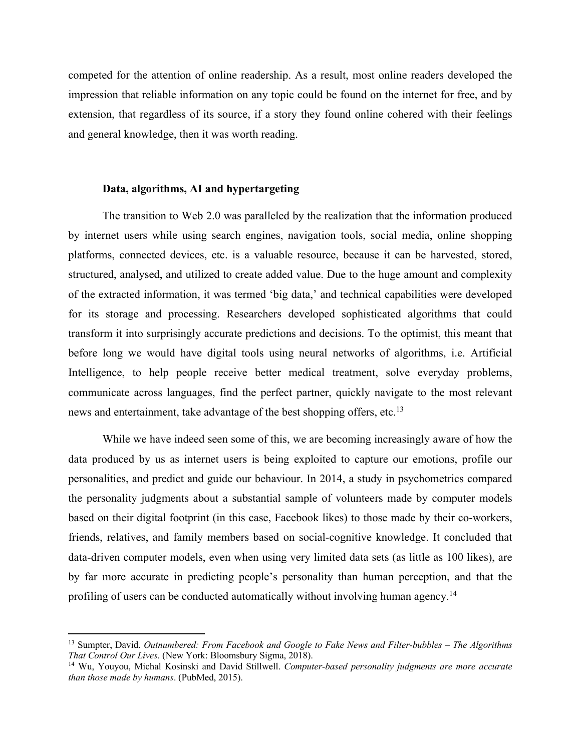competed for the attention of online readership. As a result, most online readers developed the impression that reliable information on any topic could be found on the internet for free, and by extension, that regardless of its source, if a story they found online cohered with their feelings and general knowledge, then it was worth reading.

# **Data, algorithms, AI and hypertargeting**

The transition to Web 2.0 was paralleled by the realization that the information produced by internet users while using search engines, navigation tools, social media, online shopping platforms, connected devices, etc. is a valuable resource, because it can be harvested, stored, structured, analysed, and utilized to create added value. Due to the huge amount and complexity of the extracted information, it was termed 'big data,' and technical capabilities were developed for its storage and processing. Researchers developed sophisticated algorithms that could transform it into surprisingly accurate predictions and decisions. To the optimist, this meant that before long we would have digital tools using neural networks of algorithms, i.e. Artificial Intelligence, to help people receive better medical treatment, solve everyday problems, communicate across languages, find the perfect partner, quickly navigate to the most relevant news and entertainment, take advantage of the best shopping offers, etc.<sup>13</sup>

While we have indeed seen some of this, we are becoming increasingly aware of how the data produced by us as internet users is being exploited to capture our emotions, profile our personalities, and predict and guide our behaviour. In 2014, a study in psychometrics compared the personality judgments about a substantial sample of volunteers made by computer models based on their digital footprint (in this case, Facebook likes) to those made by their co-workers, friends, relatives, and family members based on social-cognitive knowledge. It concluded that data-driven computer models, even when using very limited data sets (as little as 100 likes), are by far more accurate in predicting people's personality than human perception, and that the profiling of users can be conducted automatically without involving human agency.<sup>14</sup>

<sup>13</sup> Sumpter, David. *Outnumbered: From Facebook and Google to Fake News and Filter-bubbles – The Algorithms That Control Our Lives*. (New York: Bloomsbury Sigma, 2018).

<sup>14</sup> Wu, Youyou, Michal Kosinski and David Stillwell. *Computer-based personality judgments are more accurate than those made by humans*. (PubMed, 2015).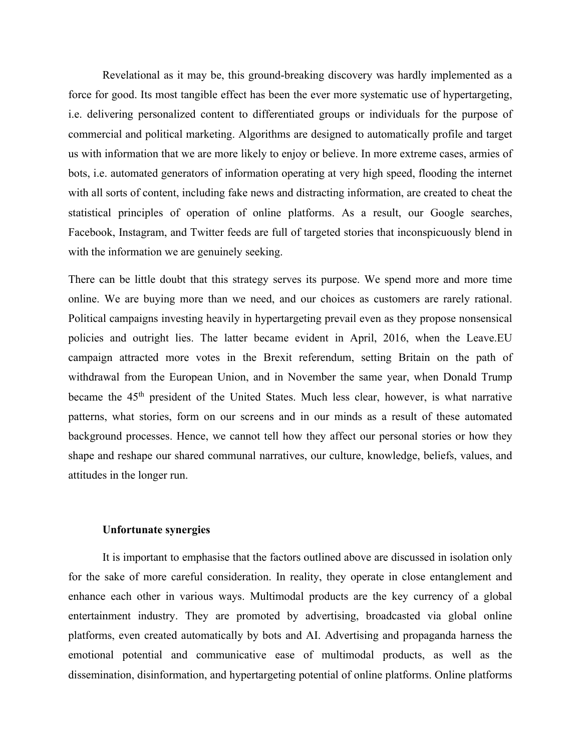Revelational as it may be, this ground-breaking discovery was hardly implemented as a force for good. Its most tangible effect has been the ever more systematic use of hypertargeting, i.e. delivering personalized content to differentiated groups or individuals for the purpose of commercial and political marketing. Algorithms are designed to automatically profile and target us with information that we are more likely to enjoy or believe. In more extreme cases, armies of bots, i.e. automated generators of information operating at very high speed, flooding the internet with all sorts of content, including fake news and distracting information, are created to cheat the statistical principles of operation of online platforms. As a result, our Google searches, Facebook, Instagram, and Twitter feeds are full of targeted stories that inconspicuously blend in with the information we are genuinely seeking.

There can be little doubt that this strategy serves its purpose. We spend more and more time online. We are buying more than we need, and our choices as customers are rarely rational. Political campaigns investing heavily in hypertargeting prevail even as they propose nonsensical policies and outright lies. The latter became evident in April, 2016, when the Leave.EU campaign attracted more votes in the Brexit referendum, setting Britain on the path of withdrawal from the European Union, and in November the same year, when Donald Trump became the 45<sup>th</sup> president of the United States. Much less clear, however, is what narrative patterns, what stories, form on our screens and in our minds as a result of these automated background processes. Hence, we cannot tell how they affect our personal stories or how they shape and reshape our shared communal narratives, our culture, knowledge, beliefs, values, and attitudes in the longer run.

# **Unfortunate synergies**

It is important to emphasise that the factors outlined above are discussed in isolation only for the sake of more careful consideration. In reality, they operate in close entanglement and enhance each other in various ways. Multimodal products are the key currency of a global entertainment industry. They are promoted by advertising, broadcasted via global online platforms, even created automatically by bots and AI. Advertising and propaganda harness the emotional potential and communicative ease of multimodal products, as well as the dissemination, disinformation, and hypertargeting potential of online platforms. Online platforms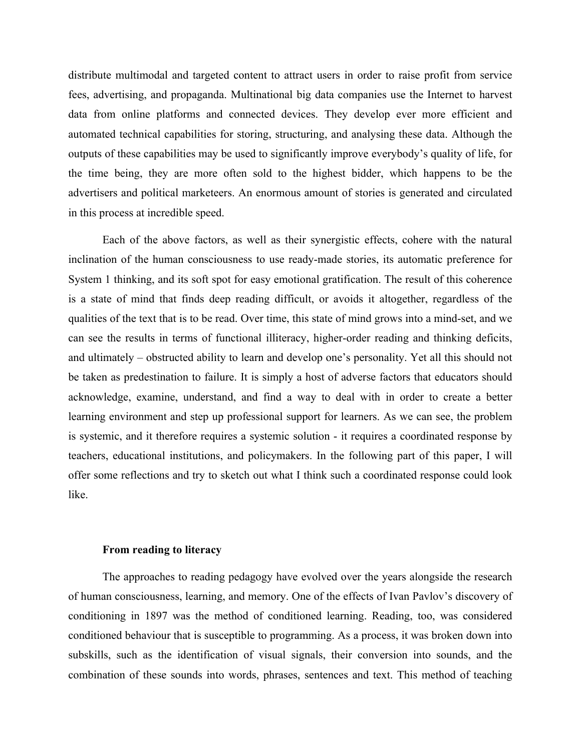distribute multimodal and targeted content to attract users in order to raise profit from service fees, advertising, and propaganda. Multinational big data companies use the Internet to harvest data from online platforms and connected devices. They develop ever more efficient and automated technical capabilities for storing, structuring, and analysing these data. Although the outputs of these capabilities may be used to significantly improve everybody's quality of life, for the time being, they are more often sold to the highest bidder, which happens to be the advertisers and political marketeers. An enormous amount of stories is generated and circulated in this process at incredible speed.

Each of the above factors, as well as their synergistic effects, cohere with the natural inclination of the human consciousness to use ready-made stories, its automatic preference for System 1 thinking, and its soft spot for easy emotional gratification. The result of this coherence is a state of mind that finds deep reading difficult, or avoids it altogether, regardless of the qualities of the text that is to be read. Over time, this state of mind grows into a mind-set, and we can see the results in terms of functional illiteracy, higher-order reading and thinking deficits, and ultimately – obstructed ability to learn and develop one's personality. Yet all this should not be taken as predestination to failure. It is simply a host of adverse factors that educators should acknowledge, examine, understand, and find a way to deal with in order to create a better learning environment and step up professional support for learners. As we can see, the problem is systemic, and it therefore requires a systemic solution - it requires a coordinated response by teachers, educational institutions, and policymakers. In the following part of this paper, I will offer some reflections and try to sketch out what I think such a coordinated response could look like.

#### **From reading to literacy**

The approaches to reading pedagogy have evolved over the years alongside the research of human consciousness, learning, and memory. One of the effects of Ivan Pavlov's discovery of conditioning in 1897 was the method of conditioned learning. Reading, too, was considered conditioned behaviour that is susceptible to programming. As a process, it was broken down into subskills, such as the identification of visual signals, their conversion into sounds, and the combination of these sounds into words, phrases, sentences and text. This method of teaching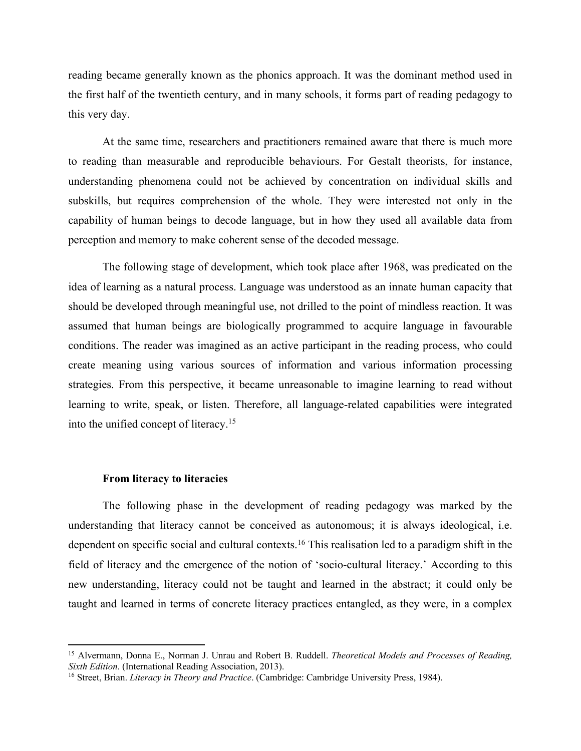reading became generally known as the phonics approach. It was the dominant method used in the first half of the twentieth century, and in many schools, it forms part of reading pedagogy to this very day.

At the same time, researchers and practitioners remained aware that there is much more to reading than measurable and reproducible behaviours. For Gestalt theorists, for instance, understanding phenomena could not be achieved by concentration on individual skills and subskills, but requires comprehension of the whole. They were interested not only in the capability of human beings to decode language, but in how they used all available data from perception and memory to make coherent sense of the decoded message.

The following stage of development, which took place after 1968, was predicated on the idea of learning as a natural process. Language was understood as an innate human capacity that should be developed through meaningful use, not drilled to the point of mindless reaction. It was assumed that human beings are biologically programmed to acquire language in favourable conditions. The reader was imagined as an active participant in the reading process, who could create meaning using various sources of information and various information processing strategies. From this perspective, it became unreasonable to imagine learning to read without learning to write, speak, or listen. Therefore, all language-related capabilities were integrated into the unified concept of literacy. 15

#### **From literacy to literacies**

The following phase in the development of reading pedagogy was marked by the understanding that literacy cannot be conceived as autonomous; it is always ideological, i.e. dependent on specific social and cultural contexts. <sup>16</sup> This realisation led to a paradigm shift in the field of literacy and the emergence of the notion of 'socio-cultural literacy.' According to this new understanding, literacy could not be taught and learned in the abstract; it could only be taught and learned in terms of concrete literacy practices entangled, as they were, in a complex

<sup>15</sup> Alvermann, Donna E., Norman J. Unrau and Robert B. Ruddell. *Theoretical Models and Processes of Reading, Sixth Edition*. (International Reading Association, 2013).

<sup>16</sup> Street, Brian. *Literacy in Theory and Practice*. (Cambridge: Cambridge University Press, 1984).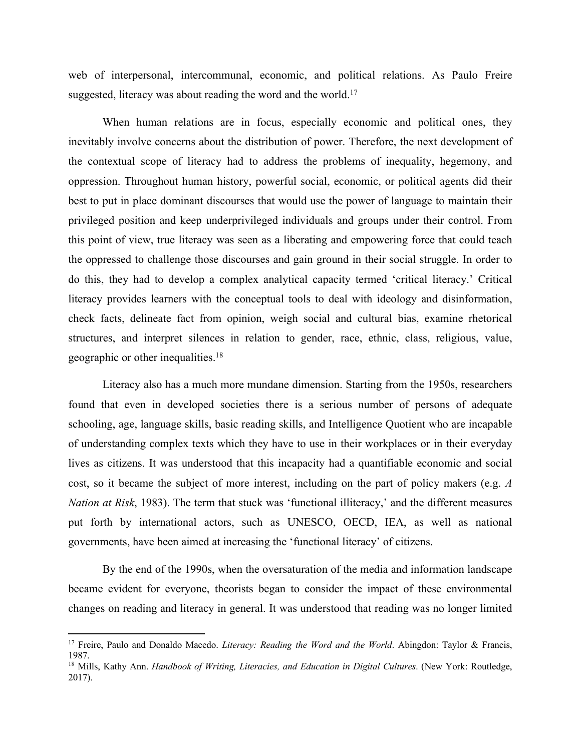web of interpersonal, intercommunal, economic, and political relations. As Paulo Freire suggested, literacy was about reading the word and the world.<sup>17</sup>

When human relations are in focus, especially economic and political ones, they inevitably involve concerns about the distribution of power. Therefore, the next development of the contextual scope of literacy had to address the problems of inequality, hegemony, and oppression. Throughout human history, powerful social, economic, or political agents did their best to put in place dominant discourses that would use the power of language to maintain their privileged position and keep underprivileged individuals and groups under their control. From this point of view, true literacy was seen as a liberating and empowering force that could teach the oppressed to challenge those discourses and gain ground in their social struggle. In order to do this, they had to develop a complex analytical capacity termed 'critical literacy.' Critical literacy provides learners with the conceptual tools to deal with ideology and disinformation, check facts, delineate fact from opinion, weigh social and cultural bias, examine rhetorical structures, and interpret silences in relation to gender, race, ethnic, class, religious, value, geographic or other inequalities.<sup>18</sup>

Literacy also has a much more mundane dimension. Starting from the 1950s, researchers found that even in developed societies there is a serious number of persons of adequate schooling, age, language skills, basic reading skills, and Intelligence Quotient who are incapable of understanding complex texts which they have to use in their workplaces or in their everyday lives as citizens. It was understood that this incapacity had a quantifiable economic and social cost, so it became the subject of more interest, including on the part of policy makers (e.g. *A Nation at Risk*, 1983). The term that stuck was 'functional illiteracy,' and the different measures put forth by international actors, such as UNESCO, OECD, IEA, as well as national governments, have been aimed at increasing the 'functional literacy' of citizens.

By the end of the 1990s, when the oversaturation of the media and information landscape became evident for everyone, theorists began to consider the impact of these environmental changes on reading and literacy in general. It was understood that reading was no longer limited

<sup>&</sup>lt;sup>17</sup> Freire, Paulo and Donaldo Macedo. *Literacy: Reading the Word and the World*. Abingdon: Taylor & Francis, 1987.

<sup>18</sup> Mills, Kathy Ann. *Handbook of Writing, Literacies, and Education in Digital Cultures*. (New York: Routledge, 2017).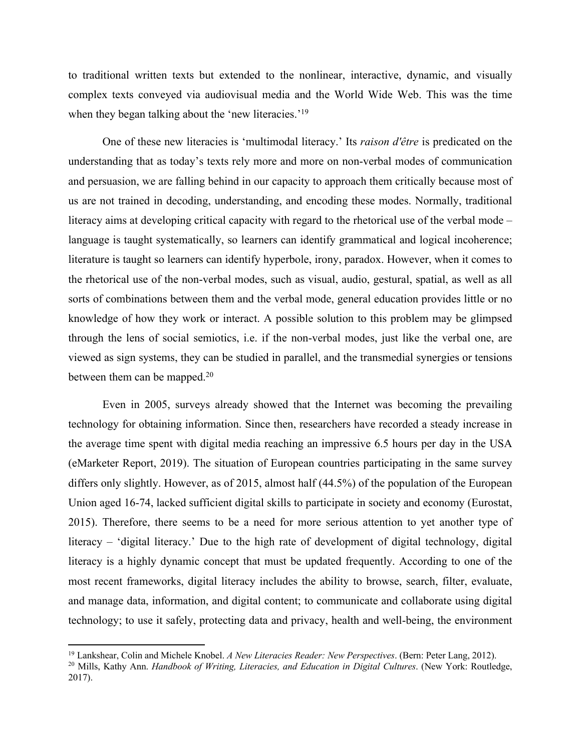to traditional written texts but extended to the nonlinear, interactive, dynamic, and visually complex texts conveyed via audiovisual media and the World Wide Web. This was the time when they began talking about the 'new literacies.'<sup>19</sup>

One of these new literacies is 'multimodal literacy.' Its *raison d'être* is predicated on the understanding that as today's texts rely more and more on non-verbal modes of communication and persuasion, we are falling behind in our capacity to approach them critically because most of us are not trained in decoding, understanding, and encoding these modes. Normally, traditional literacy aims at developing critical capacity with regard to the rhetorical use of the verbal mode – language is taught systematically, so learners can identify grammatical and logical incoherence; literature is taught so learners can identify hyperbole, irony, paradox. However, when it comes to the rhetorical use of the non-verbal modes, such as visual, audio, gestural, spatial, as well as all sorts of combinations between them and the verbal mode, general education provides little or no knowledge of how they work or interact. A possible solution to this problem may be glimpsed through the lens of social semiotics, i.e. if the non-verbal modes, just like the verbal one, are viewed as sign systems, they can be studied in parallel, and the transmedial synergies or tensions between them can be mapped.<sup>20</sup>

Even in 2005, surveys already showed that the Internet was becoming the prevailing technology for obtaining information. Since then, researchers have recorded a steady increase in the average time spent with digital media reaching an impressive 6.5 hours per day in the USA (eMarketer Report, 2019). The situation of European countries participating in the same survey differs only slightly. However, as of 2015, almost half (44.5%) of the population of the European Union aged 16-74, lacked sufficient digital skills to participate in society and economy (Eurostat, 2015). Therefore, there seems to be a need for more serious attention to yet another type of literacy – 'digital literacy.' Due to the high rate of development of digital technology, digital literacy is a highly dynamic concept that must be updated frequently. According to one of the most recent frameworks, digital literacy includes the ability to browse, search, filter, evaluate, and manage data, information, and digital content; to communicate and collaborate using digital technology; to use it safely, protecting data and privacy, health and well-being, the environment

<sup>19</sup> Lankshear, Colin and Michele Knobel. *A New Literacies Reader: New Perspectives*. (Bern: Peter Lang, 2012).

<sup>20</sup> Mills, Kathy Ann. *Handbook of Writing, Literacies, and Education in Digital Cultures*. (New York: Routledge, 2017).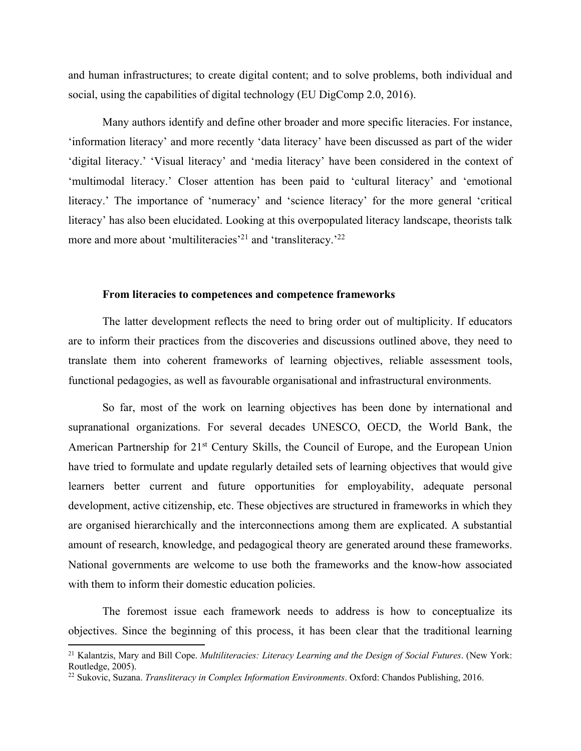and human infrastructures; to create digital content; and to solve problems, both individual and social, using the capabilities of digital technology (EU DigComp 2.0, 2016).

Many authors identify and define other broader and more specific literacies. For instance, 'information literacy' and more recently 'data literacy' have been discussed as part of the wider 'digital literacy.' 'Visual literacy' and 'media literacy' have been considered in the context of 'multimodal literacy.' Closer attention has been paid to 'cultural literacy' and 'emotional literacy.' The importance of 'numeracy' and 'science literacy' for the more general 'critical literacy' has also been elucidated. Looking at this overpopulated literacy landscape, theorists talk more and more about 'multiliteracies'<sup>21</sup> and 'transliteracy.'<sup>22</sup>

## **From literacies to competences and competence frameworks**

The latter development reflects the need to bring order out of multiplicity. If educators are to inform their practices from the discoveries and discussions outlined above, they need to translate them into coherent frameworks of learning objectives, reliable assessment tools, functional pedagogies, as well as favourable organisational and infrastructural environments.

So far, most of the work on learning objectives has been done by international and supranational organizations. For several decades UNESCO, OECD, the World Bank, the American Partnership for 21<sup>st</sup> Century Skills, the Council of Europe, and the European Union have tried to formulate and update regularly detailed sets of learning objectives that would give learners better current and future opportunities for employability, adequate personal development, active citizenship, etc. These objectives are structured in frameworks in which they are organised hierarchically and the interconnections among them are explicated. A substantial amount of research, knowledge, and pedagogical theory are generated around these frameworks. National governments are welcome to use both the frameworks and the know-how associated with them to inform their domestic education policies.

The foremost issue each framework needs to address is how to conceptualize its objectives. Since the beginning of this process, it has been clear that the traditional learning

<sup>21</sup> Kalantzis, Mary and Bill Cope. *Multiliteracies: Literacy Learning and the Design of Social Futures*. (New York: Routledge, 2005).

<sup>22</sup> Sukovic, Suzana. *Transliteracy in Complex Information Environments*. Oxford: Chandos Publishing, 2016.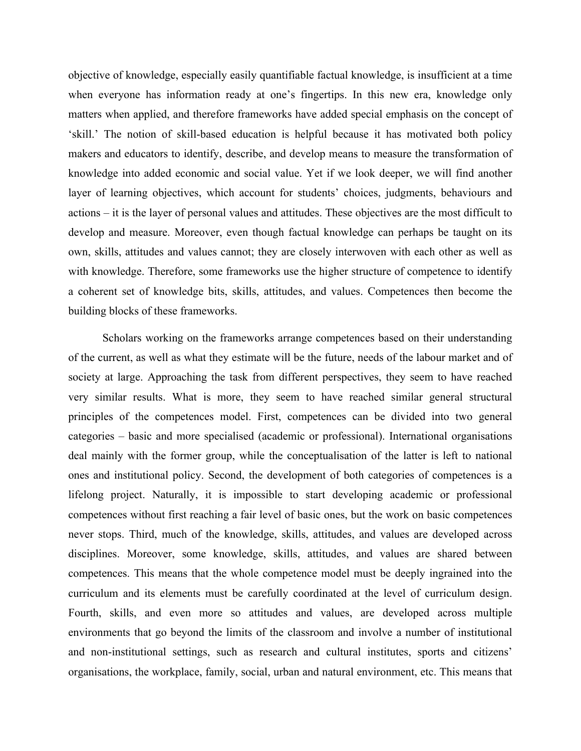objective of knowledge, especially easily quantifiable factual knowledge, is insufficient at a time when everyone has information ready at one's fingertips. In this new era, knowledge only matters when applied, and therefore frameworks have added special emphasis on the concept of 'skill.' The notion of skill-based education is helpful because it has motivated both policy makers and educators to identify, describe, and develop means to measure the transformation of knowledge into added economic and social value. Yet if we look deeper, we will find another layer of learning objectives, which account for students' choices, judgments, behaviours and actions – it is the layer of personal values and attitudes. These objectives are the most difficult to develop and measure. Moreover, even though factual knowledge can perhaps be taught on its own, skills, attitudes and values cannot; they are closely interwoven with each other as well as with knowledge. Therefore, some frameworks use the higher structure of competence to identify a coherent set of knowledge bits, skills, attitudes, and values. Competences then become the building blocks of these frameworks.

Scholars working on the frameworks arrange competences based on their understanding of the current, as well as what they estimate will be the future, needs of the labour market and of society at large. Approaching the task from different perspectives, they seem to have reached very similar results. What is more, they seem to have reached similar general structural principles of the competences model. First, competences can be divided into two general categories – basic and more specialised (academic or professional). International organisations deal mainly with the former group, while the conceptualisation of the latter is left to national ones and institutional policy. Second, the development of both categories of competences is a lifelong project. Naturally, it is impossible to start developing academic or professional competences without first reaching a fair level of basic ones, but the work on basic competences never stops. Third, much of the knowledge, skills, attitudes, and values are developed across disciplines. Moreover, some knowledge, skills, attitudes, and values are shared between competences. This means that the whole competence model must be deeply ingrained into the curriculum and its elements must be carefully coordinated at the level of curriculum design. Fourth, skills, and even more so attitudes and values, are developed across multiple environments that go beyond the limits of the classroom and involve a number of institutional and non-institutional settings, such as research and cultural institutes, sports and citizens' organisations, the workplace, family, social, urban and natural environment, etc. This means that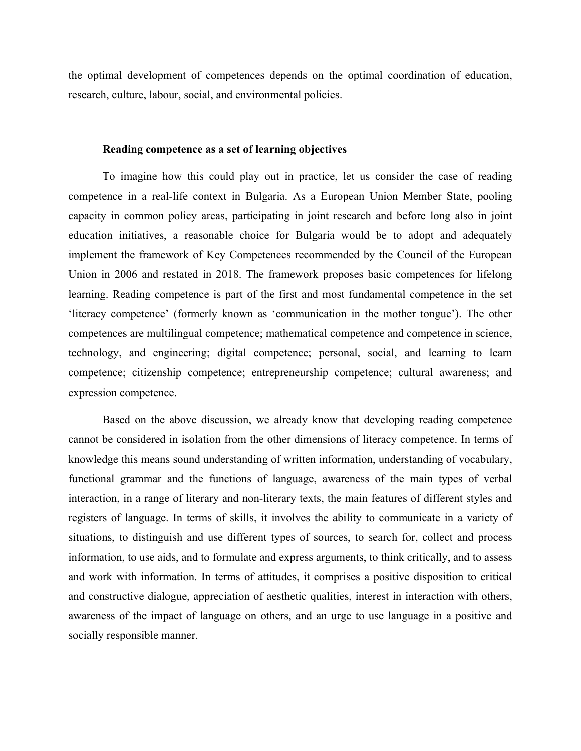the optimal development of competences depends on the optimal coordination of education, research, culture, labour, social, and environmental policies.

## **Reading competence as a set of learning objectives**

To imagine how this could play out in practice, let us consider the case of reading competence in a real-life context in Bulgaria. As a European Union Member State, pooling capacity in common policy areas, participating in joint research and before long also in joint education initiatives, a reasonable choice for Bulgaria would be to adopt and adequately implement the framework of Key Competences recommended by the Council of the European Union in 2006 and restated in 2018. The framework proposes basic competences for lifelong learning. Reading competence is part of the first and most fundamental competence in the set 'literacy competence' (formerly known as 'communication in the mother tongue'). The other competences are multilingual competence; mathematical competence and competence in science, technology, and engineering; digital competence; personal, social, and learning to learn competence; citizenship competence; entrepreneurship competence; cultural awareness; and expression competence.

Based on the above discussion, we already know that developing reading competence cannot be considered in isolation from the other dimensions of literacy competence. In terms of knowledge this means sound understanding of written information, understanding of vocabulary, functional grammar and the functions of language, awareness of the main types of verbal interaction, in a range of literary and non-literary texts, the main features of different styles and registers of language. In terms of skills, it involves the ability to communicate in a variety of situations, to distinguish and use different types of sources, to search for, collect and process information, to use aids, and to formulate and express arguments, to think critically, and to assess and work with information. In terms of attitudes, it comprises a positive disposition to critical and constructive dialogue, appreciation of aesthetic qualities, interest in interaction with others, awareness of the impact of language on others, and an urge to use language in a positive and socially responsible manner.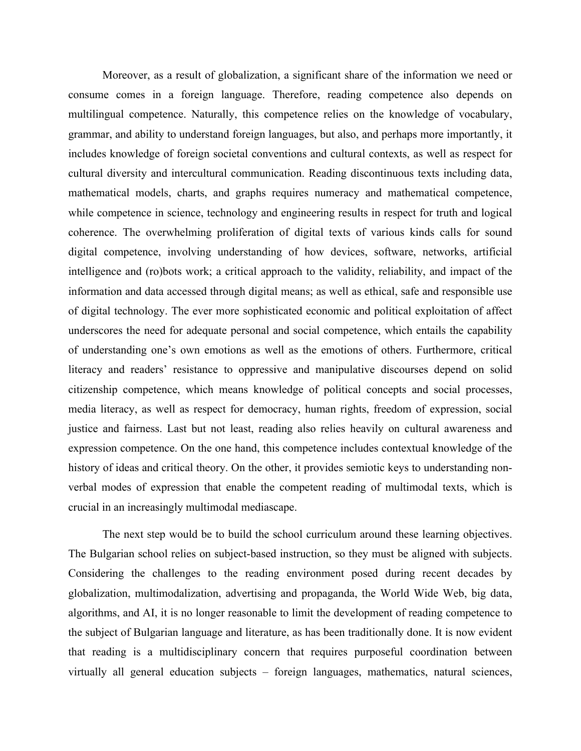Moreover, as a result of globalization, a significant share of the information we need or consume comes in a foreign language. Therefore, reading competence also depends on multilingual competence. Naturally, this competence relies on the knowledge of vocabulary, grammar, and ability to understand foreign languages, but also, and perhaps more importantly, it includes knowledge of foreign societal conventions and cultural contexts, as well as respect for cultural diversity and intercultural communication. Reading discontinuous texts including data, mathematical models, charts, and graphs requires numeracy and mathematical competence, while competence in science, technology and engineering results in respect for truth and logical coherence. The overwhelming proliferation of digital texts of various kinds calls for sound digital competence, involving understanding of how devices, software, networks, artificial intelligence and (ro)bots work; a critical approach to the validity, reliability, and impact of the information and data accessed through digital means; as well as ethical, safe and responsible use of digital technology. The ever more sophisticated economic and political exploitation of affect underscores the need for adequate personal and social competence, which entails the capability of understanding one's own emotions as well as the emotions of others. Furthermore, critical literacy and readers' resistance to oppressive and manipulative discourses depend on solid citizenship competence, which means knowledge of political concepts and social processes, media literacy, as well as respect for democracy, human rights, freedom of expression, social justice and fairness. Last but not least, reading also relies heavily on cultural awareness and expression competence. On the one hand, this competence includes contextual knowledge of the history of ideas and critical theory. On the other, it provides semiotic keys to understanding nonverbal modes of expression that enable the competent reading of multimodal texts, which is crucial in an increasingly multimodal mediascape.

The next step would be to build the school curriculum around these learning objectives. The Bulgarian school relies on subject-based instruction, so they must be aligned with subjects. Considering the challenges to the reading environment posed during recent decades by globalization, multimodalization, advertising and propaganda, the World Wide Web, big data, algorithms, and AI, it is no longer reasonable to limit the development of reading competence to the subject of Bulgarian language and literature, as has been traditionally done. It is now evident that reading is a multidisciplinary concern that requires purposeful coordination between virtually all general education subjects – foreign languages, mathematics, natural sciences,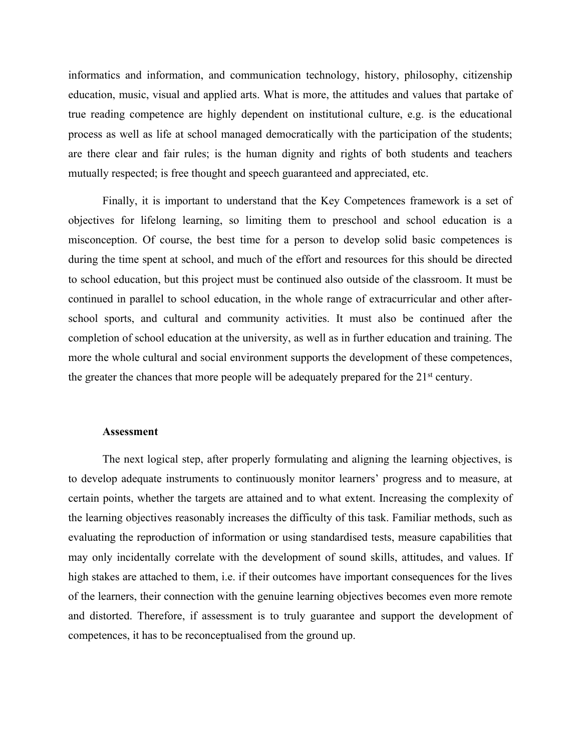informatics and information, and communication technology, history, philosophy, citizenship education, music, visual and applied arts. What is more, the attitudes and values that partake of true reading competence are highly dependent on institutional culture, e.g. is the educational process as well as life at school managed democratically with the participation of the students; are there clear and fair rules; is the human dignity and rights of both students and teachers mutually respected; is free thought and speech guaranteed and appreciated, etc.

Finally, it is important to understand that the Key Competences framework is a set of objectives for lifelong learning, so limiting them to preschool and school education is a misconception. Of course, the best time for a person to develop solid basic competences is during the time spent at school, and much of the effort and resources for this should be directed to school education, but this project must be continued also outside of the classroom. It must be continued in parallel to school education, in the whole range of extracurricular and other afterschool sports, and cultural and community activities. It must also be continued after the completion of school education at the university, as well as in further education and training. The more the whole cultural and social environment supports the development of these competences, the greater the chances that more people will be adequately prepared for the  $21<sup>st</sup>$  century.

#### **Assessment**

The next logical step, after properly formulating and aligning the learning objectives, is to develop adequate instruments to continuously monitor learners' progress and to measure, at certain points, whether the targets are attained and to what extent. Increasing the complexity of the learning objectives reasonably increases the difficulty of this task. Familiar methods, such as evaluating the reproduction of information or using standardised tests, measure capabilities that may only incidentally correlate with the development of sound skills, attitudes, and values. If high stakes are attached to them, i.e. if their outcomes have important consequences for the lives of the learners, their connection with the genuine learning objectives becomes even more remote and distorted. Therefore, if assessment is to truly guarantee and support the development of competences, it has to be reconceptualised from the ground up.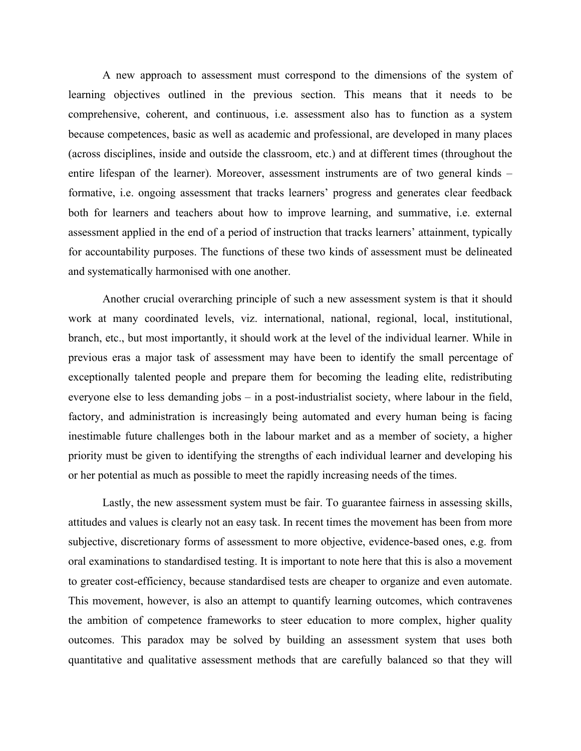A new approach to assessment must correspond to the dimensions of the system of learning objectives outlined in the previous section. This means that it needs to be comprehensive, coherent, and continuous, i.e. assessment also has to function as a system because competences, basic as well as academic and professional, are developed in many places (across disciplines, inside and outside the classroom, etc.) and at different times (throughout the entire lifespan of the learner). Moreover, assessment instruments are of two general kinds – formative, i.e. ongoing assessment that tracks learners' progress and generates clear feedback both for learners and teachers about how to improve learning, and summative, i.e. external assessment applied in the end of a period of instruction that tracks learners' attainment, typically for accountability purposes. The functions of these two kinds of assessment must be delineated and systematically harmonised with one another.

Another crucial overarching principle of such a new assessment system is that it should work at many coordinated levels, viz. international, national, regional, local, institutional, branch, etc., but most importantly, it should work at the level of the individual learner. While in previous eras a major task of assessment may have been to identify the small percentage of exceptionally talented people and prepare them for becoming the leading elite, redistributing everyone else to less demanding jobs – in a post-industrialist society, where labour in the field, factory, and administration is increasingly being automated and every human being is facing inestimable future challenges both in the labour market and as a member of society, a higher priority must be given to identifying the strengths of each individual learner and developing his or her potential as much as possible to meet the rapidly increasing needs of the times.

Lastly, the new assessment system must be fair. To guarantee fairness in assessing skills, attitudes and values is clearly not an easy task. In recent times the movement has been from more subjective, discretionary forms of assessment to more objective, evidence-based ones, e.g. from oral examinations to standardised testing. It is important to note here that this is also a movement to greater cost-efficiency, because standardised tests are cheaper to organize and even automate. This movement, however, is also an attempt to quantify learning outcomes, which contravenes the ambition of competence frameworks to steer education to more complex, higher quality outcomes. This paradox may be solved by building an assessment system that uses both quantitative and qualitative assessment methods that are carefully balanced so that they will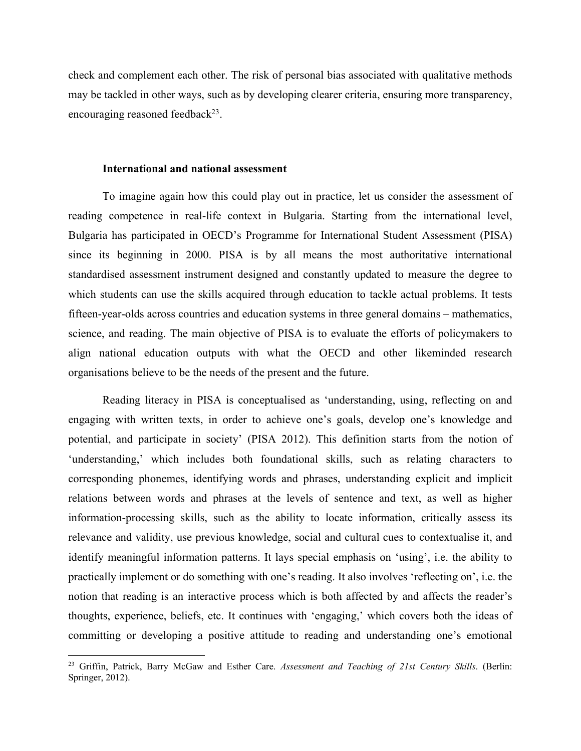check and complement each other. The risk of personal bias associated with qualitative methods may be tackled in other ways, such as by developing clearer criteria, ensuring more transparency, encouraging reasoned feedback $^{23}$ .

## **International and national assessment**

To imagine again how this could play out in practice, let us consider the assessment of reading competence in real-life context in Bulgaria. Starting from the international level, Bulgaria has participated in OECD's Programme for International Student Assessment (PISA) since its beginning in 2000. PISA is by all means the most authoritative international standardised assessment instrument designed and constantly updated to measure the degree to which students can use the skills acquired through education to tackle actual problems. It tests fifteen-year-olds across countries and education systems in three general domains – mathematics, science, and reading. The main objective of PISA is to evaluate the efforts of policymakers to align national education outputs with what the OECD and other likeminded research organisations believe to be the needs of the present and the future.

Reading literacy in PISA is conceptualised as 'understanding, using, reflecting on and engaging with written texts, in order to achieve one's goals, develop one's knowledge and potential, and participate in society' (PISA 2012). This definition starts from the notion of 'understanding,' which includes both foundational skills, such as relating characters to corresponding phonemes, identifying words and phrases, understanding explicit and implicit relations between words and phrases at the levels of sentence and text, as well as higher information-processing skills, such as the ability to locate information, critically assess its relevance and validity, use previous knowledge, social and cultural cues to contextualise it, and identify meaningful information patterns. It lays special emphasis on 'using', i.e. the ability to practically implement or do something with one's reading. It also involves 'reflecting on', i.e. the notion that reading is an interactive process which is both affected by and affects the reader's thoughts, experience, beliefs, etc. It continues with 'engaging,' which covers both the ideas of committing or developing a positive attitude to reading and understanding one's emotional

<sup>23</sup> Griffin, Patrick, Barry McGaw and Esther Care. *Assessment and Teaching of 21st Century Skills*. (Berlin: Springer, 2012).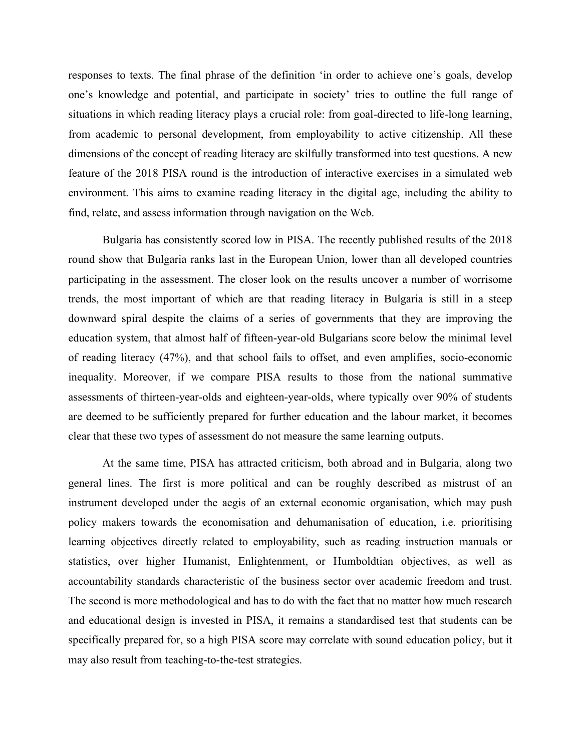responses to texts. The final phrase of the definition 'in order to achieve one's goals, develop one's knowledge and potential, and participate in society' tries to outline the full range of situations in which reading literacy plays a crucial role: from goal-directed to life-long learning, from academic to personal development, from employability to active citizenship. All these dimensions of the concept of reading literacy are skilfully transformed into test questions. A new feature of the 2018 PISA round is the introduction of interactive exercises in a simulated web environment. This aims to examine reading literacy in the digital age, including the ability to find, relate, and assess information through navigation on the Web.

Bulgaria has consistently scored low in PISA. The recently published results of the 2018 round show that Bulgaria ranks last in the European Union, lower than all developed countries participating in the assessment. The closer look on the results uncover a number of worrisome trends, the most important of which are that reading literacy in Bulgaria is still in a steep downward spiral despite the claims of a series of governments that they are improving the education system, that almost half of fifteen-year-old Bulgarians score below the minimal level of reading literacy (47%), and that school fails to offset, and even amplifies, socio-economic inequality. Moreover, if we compare PISA results to those from the national summative assessments of thirteen-year-olds and eighteen-year-olds, where typically over 90% of students are deemed to be sufficiently prepared for further education and the labour market, it becomes clear that these two types of assessment do not measure the same learning outputs.

At the same time, PISA has attracted criticism, both abroad and in Bulgaria, along two general lines. The first is more political and can be roughly described as mistrust of an instrument developed under the aegis of an external economic organisation, which may push policy makers towards the economisation and dehumanisation of education, i.e. prioritising learning objectives directly related to employability, such as reading instruction manuals or statistics, over higher Humanist, Enlightenment, or Humboldtian objectives, as well as accountability standards characteristic of the business sector over academic freedom and trust. The second is more methodological and has to do with the fact that no matter how much research and educational design is invested in PISA, it remains a standardised test that students can be specifically prepared for, so a high PISA score may correlate with sound education policy, but it may also result from teaching-to-the-test strategies.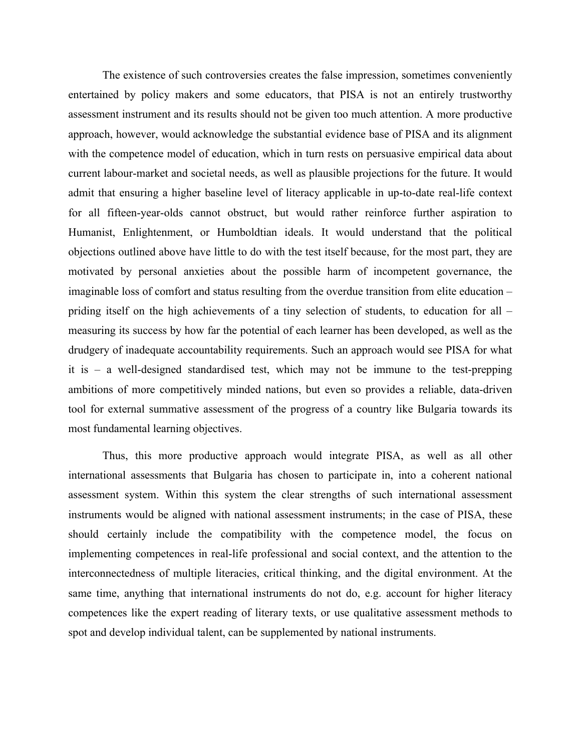The existence of such controversies creates the false impression, sometimes conveniently entertained by policy makers and some educators, that PISA is not an entirely trustworthy assessment instrument and its results should not be given too much attention. A more productive approach, however, would acknowledge the substantial evidence base of PISA and its alignment with the competence model of education, which in turn rests on persuasive empirical data about current labour-market and societal needs, as well as plausible projections for the future. It would admit that ensuring a higher baseline level of literacy applicable in up-to-date real-life context for all fifteen-year-olds cannot obstruct, but would rather reinforce further aspiration to Humanist, Enlightenment, or Humboldtian ideals. It would understand that the political objections outlined above have little to do with the test itself because, for the most part, they are motivated by personal anxieties about the possible harm of incompetent governance, the imaginable loss of comfort and status resulting from the overdue transition from elite education – priding itself on the high achievements of a tiny selection of students, to education for all – measuring its success by how far the potential of each learner has been developed, as well as the drudgery of inadequate accountability requirements. Such an approach would see PISA for what it is – a well-designed standardised test, which may not be immune to the test-prepping ambitions of more competitively minded nations, but even so provides a reliable, data-driven tool for external summative assessment of the progress of a country like Bulgaria towards its most fundamental learning objectives.

Thus, this more productive approach would integrate PISA, as well as all other international assessments that Bulgaria has chosen to participate in, into a coherent national assessment system. Within this system the clear strengths of such international assessment instruments would be aligned with national assessment instruments; in the case of PISA, these should certainly include the compatibility with the competence model, the focus on implementing competences in real-life professional and social context, and the attention to the interconnectedness of multiple literacies, critical thinking, and the digital environment. At the same time, anything that international instruments do not do, e.g. account for higher literacy competences like the expert reading of literary texts, or use qualitative assessment methods to spot and develop individual talent, can be supplemented by national instruments.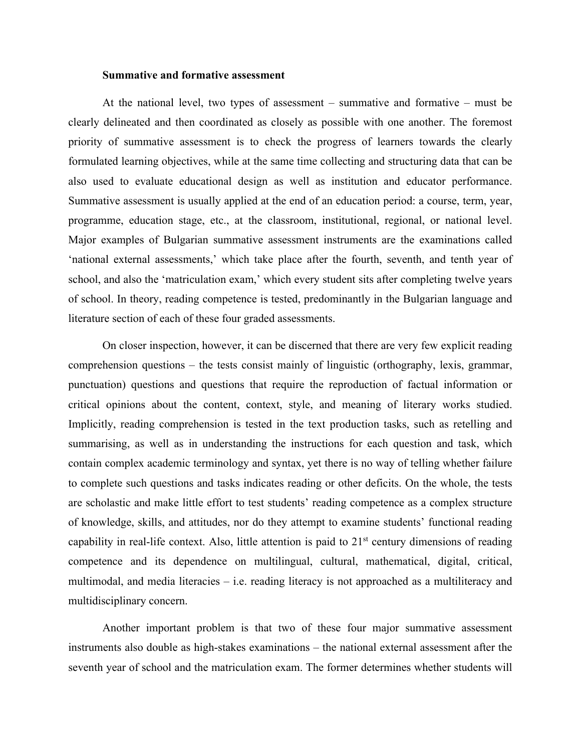## **Summative and formative assessment**

At the national level, two types of assessment – summative and formative – must be clearly delineated and then coordinated as closely as possible with one another. The foremost priority of summative assessment is to check the progress of learners towards the clearly formulated learning objectives, while at the same time collecting and structuring data that can be also used to evaluate educational design as well as institution and educator performance. Summative assessment is usually applied at the end of an education period: a course, term, year, programme, education stage, etc., at the classroom, institutional, regional, or national level. Major examples of Bulgarian summative assessment instruments are the examinations called 'national external assessments,' which take place after the fourth, seventh, and tenth year of school, and also the 'matriculation exam,' which every student sits after completing twelve years of school. In theory, reading competence is tested, predominantly in the Bulgarian language and literature section of each of these four graded assessments.

On closer inspection, however, it can be discerned that there are very few explicit reading comprehension questions – the tests consist mainly of linguistic (orthography, lexis, grammar, punctuation) questions and questions that require the reproduction of factual information or critical opinions about the content, context, style, and meaning of literary works studied. Implicitly, reading comprehension is tested in the text production tasks, such as retelling and summarising, as well as in understanding the instructions for each question and task, which contain complex academic terminology and syntax, yet there is no way of telling whether failure to complete such questions and tasks indicates reading or other deficits. On the whole, the tests are scholastic and make little effort to test students' reading competence as a complex structure of knowledge, skills, and attitudes, nor do they attempt to examine students' functional reading capability in real-life context. Also, little attention is paid to  $21<sup>st</sup>$  century dimensions of reading competence and its dependence on multilingual, cultural, mathematical, digital, critical, multimodal, and media literacies – i.e. reading literacy is not approached as a multiliteracy and multidisciplinary concern.

Another important problem is that two of these four major summative assessment instruments also double as high-stakes examinations – the national external assessment after the seventh year of school and the matriculation exam. The former determines whether students will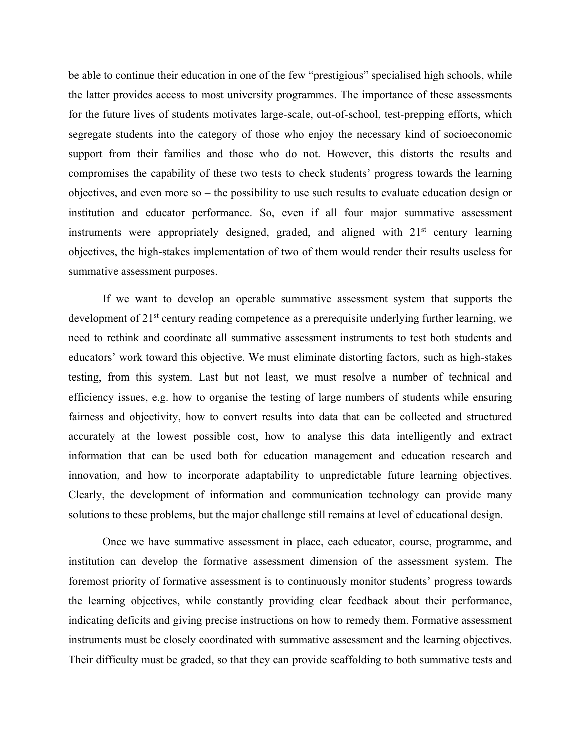be able to continue their education in one of the few "prestigious" specialised high schools, while the latter provides access to most university programmes. The importance of these assessments for the future lives of students motivates large-scale, out-of-school, test-prepping efforts, which segregate students into the category of those who enjoy the necessary kind of socioeconomic support from their families and those who do not. However, this distorts the results and compromises the capability of these two tests to check students' progress towards the learning objectives, and even more so – the possibility to use such results to evaluate education design or institution and educator performance. So, even if all four major summative assessment instruments were appropriately designed, graded, and aligned with  $21<sup>st</sup>$  century learning objectives, the high-stakes implementation of two of them would render their results useless for summative assessment purposes.

If we want to develop an operable summative assessment system that supports the development of 21st century reading competence as a prerequisite underlying further learning, we need to rethink and coordinate all summative assessment instruments to test both students and educators' work toward this objective. We must eliminate distorting factors, such as high-stakes testing, from this system. Last but not least, we must resolve a number of technical and efficiency issues, e.g. how to organise the testing of large numbers of students while ensuring fairness and objectivity, how to convert results into data that can be collected and structured accurately at the lowest possible cost, how to analyse this data intelligently and extract information that can be used both for education management and education research and innovation, and how to incorporate adaptability to unpredictable future learning objectives. Clearly, the development of information and communication technology can provide many solutions to these problems, but the major challenge still remains at level of educational design.

Once we have summative assessment in place, each educator, course, programme, and institution can develop the formative assessment dimension of the assessment system. The foremost priority of formative assessment is to continuously monitor students' progress towards the learning objectives, while constantly providing clear feedback about their performance, indicating deficits and giving precise instructions on how to remedy them. Formative assessment instruments must be closely coordinated with summative assessment and the learning objectives. Their difficulty must be graded, so that they can provide scaffolding to both summative tests and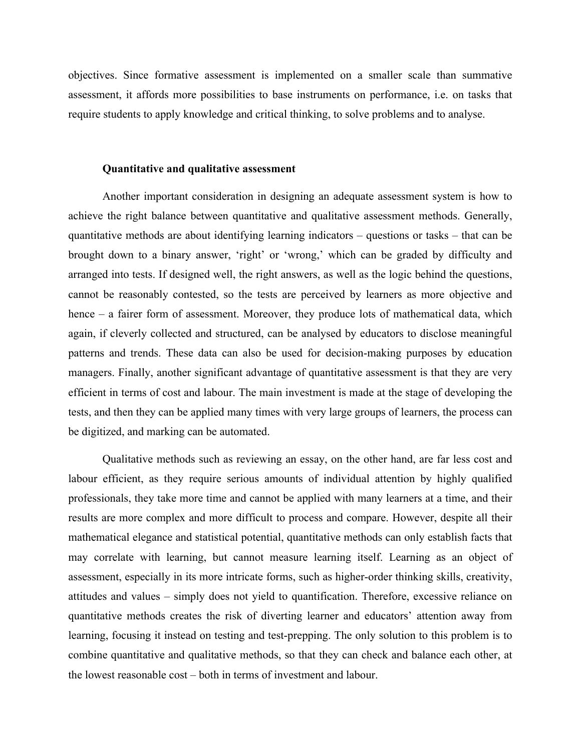objectives. Since formative assessment is implemented on a smaller scale than summative assessment, it affords more possibilities to base instruments on performance, i.e. on tasks that require students to apply knowledge and critical thinking, to solve problems and to analyse.

# **Quantitative and qualitative assessment**

Another important consideration in designing an adequate assessment system is how to achieve the right balance between quantitative and qualitative assessment methods. Generally, quantitative methods are about identifying learning indicators – questions or tasks – that can be brought down to a binary answer, 'right' or 'wrong,' which can be graded by difficulty and arranged into tests. If designed well, the right answers, as well as the logic behind the questions, cannot be reasonably contested, so the tests are perceived by learners as more objective and hence – a fairer form of assessment. Moreover, they produce lots of mathematical data, which again, if cleverly collected and structured, can be analysed by educators to disclose meaningful patterns and trends. These data can also be used for decision-making purposes by education managers. Finally, another significant advantage of quantitative assessment is that they are very efficient in terms of cost and labour. The main investment is made at the stage of developing the tests, and then they can be applied many times with very large groups of learners, the process can be digitized, and marking can be automated.

Qualitative methods such as reviewing an essay, on the other hand, are far less cost and labour efficient, as they require serious amounts of individual attention by highly qualified professionals, they take more time and cannot be applied with many learners at a time, and their results are more complex and more difficult to process and compare. However, despite all their mathematical elegance and statistical potential, quantitative methods can only establish facts that may correlate with learning, but cannot measure learning itself. Learning as an object of assessment, especially in its more intricate forms, such as higher-order thinking skills, creativity, attitudes and values – simply does not yield to quantification. Therefore, excessive reliance on quantitative methods creates the risk of diverting learner and educators' attention away from learning, focusing it instead on testing and test-prepping. The only solution to this problem is to combine quantitative and qualitative methods, so that they can check and balance each other, at the lowest reasonable cost – both in terms of investment and labour.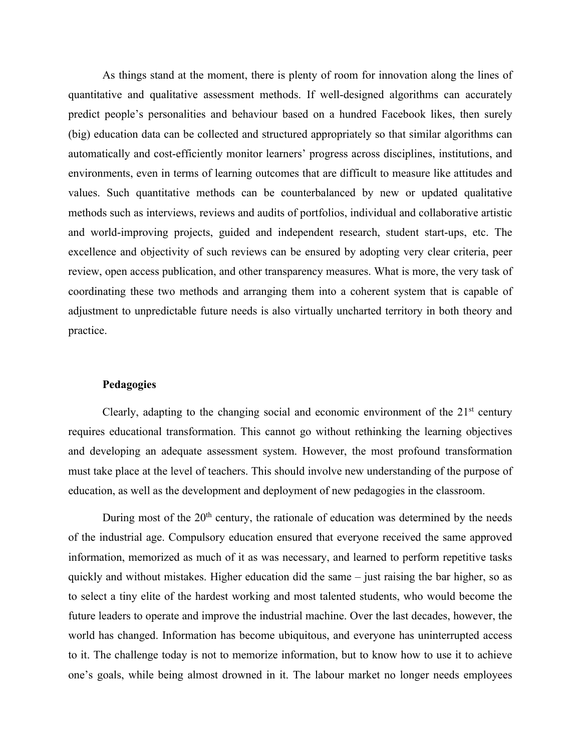As things stand at the moment, there is plenty of room for innovation along the lines of quantitative and qualitative assessment methods. If well-designed algorithms can accurately predict people's personalities and behaviour based on a hundred Facebook likes, then surely (big) education data can be collected and structured appropriately so that similar algorithms can automatically and cost-efficiently monitor learners' progress across disciplines, institutions, and environments, even in terms of learning outcomes that are difficult to measure like attitudes and values. Such quantitative methods can be counterbalanced by new or updated qualitative methods such as interviews, reviews and audits of portfolios, individual and collaborative artistic and world-improving projects, guided and independent research, student start-ups, etc. The excellence and objectivity of such reviews can be ensured by adopting very clear criteria, peer review, open access publication, and other transparency measures. What is more, the very task of coordinating these two methods and arranging them into a coherent system that is capable of adjustment to unpredictable future needs is also virtually uncharted territory in both theory and practice.

# **Pedagogies**

Clearly, adapting to the changing social and economic environment of the  $21<sup>st</sup>$  century requires educational transformation. This cannot go without rethinking the learning objectives and developing an adequate assessment system. However, the most profound transformation must take place at the level of teachers. This should involve new understanding of the purpose of education, as well as the development and deployment of new pedagogies in the classroom.

During most of the  $20<sup>th</sup>$  century, the rationale of education was determined by the needs of the industrial age. Compulsory education ensured that everyone received the same approved information, memorized as much of it as was necessary, and learned to perform repetitive tasks quickly and without mistakes. Higher education did the same – just raising the bar higher, so as to select a tiny elite of the hardest working and most talented students, who would become the future leaders to operate and improve the industrial machine. Over the last decades, however, the world has changed. Information has become ubiquitous, and everyone has uninterrupted access to it. The challenge today is not to memorize information, but to know how to use it to achieve one's goals, while being almost drowned in it. The labour market no longer needs employees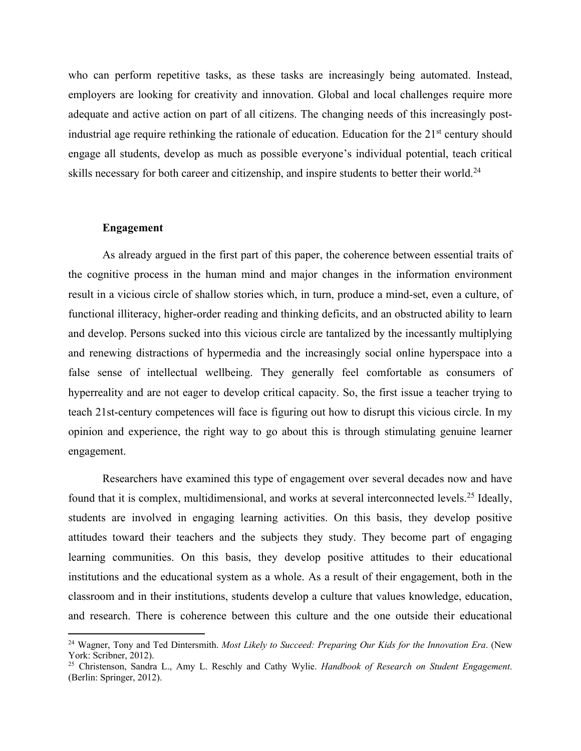who can perform repetitive tasks, as these tasks are increasingly being automated. Instead, employers are looking for creativity and innovation. Global and local challenges require more adequate and active action on part of all citizens. The changing needs of this increasingly postindustrial age require rethinking the rationale of education. Education for the 21<sup>st</sup> century should engage all students, develop as much as possible everyone's individual potential, teach critical skills necessary for both career and citizenship, and inspire students to better their world.<sup>24</sup>

#### **Engagement**

As already argued in the first part of this paper, the coherence between essential traits of the cognitive process in the human mind and major changes in the information environment result in a vicious circle of shallow stories which, in turn, produce a mind-set, even a culture, of functional illiteracy, higher-order reading and thinking deficits, and an obstructed ability to learn and develop. Persons sucked into this vicious circle are tantalized by the incessantly multiplying and renewing distractions of hypermedia and the increasingly social online hyperspace into a false sense of intellectual wellbeing. They generally feel comfortable as consumers of hyperreality and are not eager to develop critical capacity. So, the first issue a teacher trying to teach 21st-century competences will face is figuring out how to disrupt this vicious circle. In my opinion and experience, the right way to go about this is through stimulating genuine learner engagement.

Researchers have examined this type of engagement over several decades now and have found that it is complex, multidimensional, and works at several interconnected levels.<sup>25</sup> Ideally, students are involved in engaging learning activities. On this basis, they develop positive attitudes toward their teachers and the subjects they study. They become part of engaging learning communities. On this basis, they develop positive attitudes to their educational institutions and the educational system as a whole. As a result of their engagement, both in the classroom and in their institutions, students develop a culture that values knowledge, education, and research. There is coherence between this culture and the one outside their educational

<sup>24</sup> Wagner, Tony and Ted Dintersmith. *Most Likely to Succeed: Preparing Our Kids for the Innovation Era*. (New York: Scribner, 2012).

<sup>25</sup> Christenson, Sandra L., Amy L. Reschly and Cathy Wylie. *Handbook of Research on Student Engagement*. (Berlin: Springer, 2012).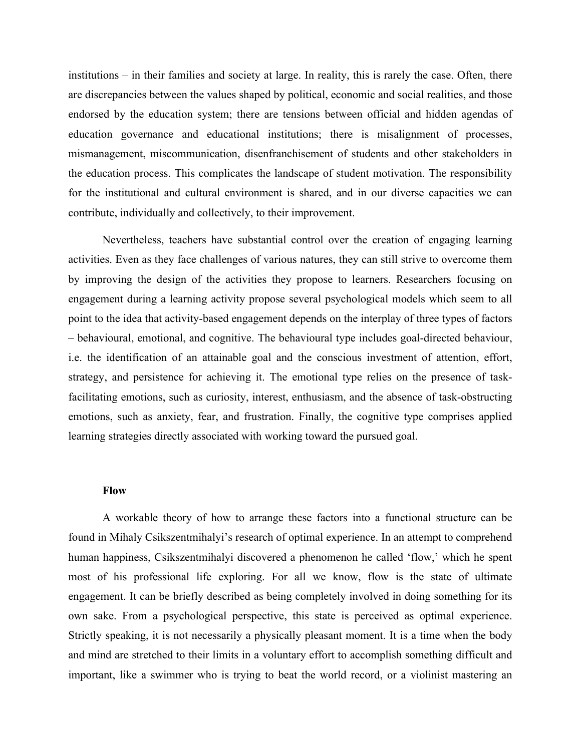institutions – in their families and society at large. In reality, this is rarely the case. Often, there are discrepancies between the values shaped by political, economic and social realities, and those endorsed by the education system; there are tensions between official and hidden agendas of education governance and educational institutions; there is misalignment of processes, mismanagement, miscommunication, disenfranchisement of students and other stakeholders in the education process. This complicates the landscape of student motivation. The responsibility for the institutional and cultural environment is shared, and in our diverse capacities we can contribute, individually and collectively, to their improvement.

Nevertheless, teachers have substantial control over the creation of engaging learning activities. Even as they face challenges of various natures, they can still strive to overcome them by improving the design of the activities they propose to learners. Researchers focusing on engagement during a learning activity propose several psychological models which seem to all point to the idea that activity-based engagement depends on the interplay of three types of factors – behavioural, emotional, and cognitive. The behavioural type includes goal-directed behaviour, i.e. the identification of an attainable goal and the conscious investment of attention, effort, strategy, and persistence for achieving it. The emotional type relies on the presence of taskfacilitating emotions, such as curiosity, interest, enthusiasm, and the absence of task-obstructing emotions, such as anxiety, fear, and frustration. Finally, the cognitive type comprises applied learning strategies directly associated with working toward the pursued goal.

#### **Flow**

A workable theory of how to arrange these factors into a functional structure can be found in Mihaly Csikszentmihalyi's research of optimal experience. In an attempt to comprehend human happiness, Csikszentmihalyi discovered a phenomenon he called 'flow,' which he spent most of his professional life exploring. For all we know, flow is the state of ultimate engagement. It can be briefly described as being completely involved in doing something for its own sake. From a psychological perspective, this state is perceived as optimal experience. Strictly speaking, it is not necessarily a physically pleasant moment. It is a time when the body and mind are stretched to their limits in a voluntary effort to accomplish something difficult and important, like a swimmer who is trying to beat the world record, or a violinist mastering an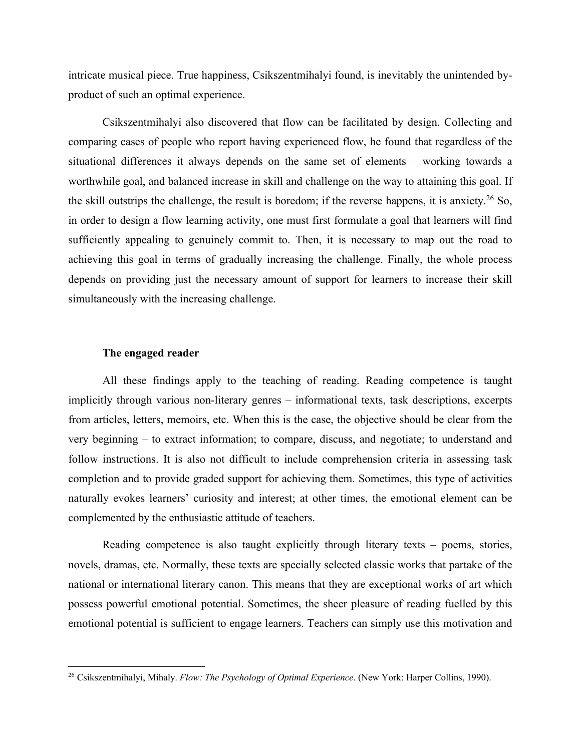intricate musical piece. True happiness, Csikszentmihalyi found, is inevitably the unintended byproduct of such an optimal experience.

Csikszentmihalyi also discovered that flow can be facilitated by design. Collecting and comparing cases of people who report having experienced flow, he found that regardless of the situational differences it always depends on the same set of elements – working towards a worthwhile goal, and balanced increase in skill and challenge on the way to attaining this goal. If the skill outstrips the challenge, the result is boredom; if the reverse happens, it is anxiety.<sup>26</sup> So, in order to design a flow learning activity, one must first formulate a goal that learners will find sufficiently appealing to genuinely commit to. Then, it is necessary to map out the road to achieving this goal in terms of gradually increasing the challenge. Finally, the whole process depends on providing just the necessary amount of support for learners to increase their skill simultaneously with the increasing challenge.

#### **The engaged reader**

All these findings apply to the teaching of reading. Reading competence is taught implicitly through various non-literary genres – informational texts, task descriptions, excerpts from articles, letters, memoirs, etc. When this is the case, the objective should be clear from the very beginning – to extract information; to compare, discuss, and negotiate; to understand and follow instructions. It is also not difficult to include comprehension criteria in assessing task completion and to provide graded support for achieving them. Sometimes, this type of activities naturally evokes learners' curiosity and interest; at other times, the emotional element can be complemented by the enthusiastic attitude of teachers.

Reading competence is also taught explicitly through literary texts – poems, stories, novels, dramas, etc. Normally, these texts are specially selected classic works that partake of the national or international literary canon. This means that they are exceptional works of art which possess powerful emotional potential. Sometimes, the sheer pleasure of reading fuelled by this emotional potential is sufficient to engage learners. Teachers can simply use this motivation and

<sup>26</sup> Csikszentmihalyi, Mihaly. *Flow: The Psychology of Optimal Experience*. (New York: Harper Collins, 1990).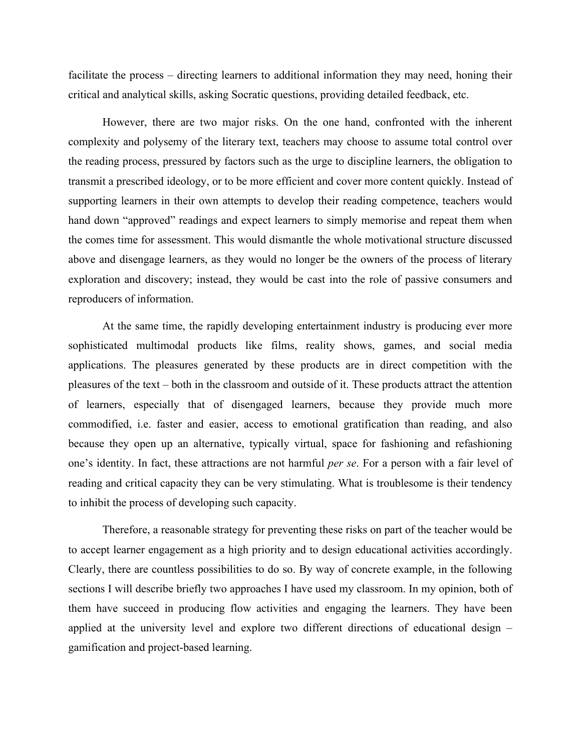facilitate the process – directing learners to additional information they may need, honing their critical and analytical skills, asking Socratic questions, providing detailed feedback, etc.

However, there are two major risks. On the one hand, confronted with the inherent complexity and polysemy of the literary text, teachers may choose to assume total control over the reading process, pressured by factors such as the urge to discipline learners, the obligation to transmit a prescribed ideology, or to be more efficient and cover more content quickly. Instead of supporting learners in their own attempts to develop their reading competence, teachers would hand down "approved" readings and expect learners to simply memorise and repeat them when the comes time for assessment. This would dismantle the whole motivational structure discussed above and disengage learners, as they would no longer be the owners of the process of literary exploration and discovery; instead, they would be cast into the role of passive consumers and reproducers of information.

At the same time, the rapidly developing entertainment industry is producing ever more sophisticated multimodal products like films, reality shows, games, and social media applications. The pleasures generated by these products are in direct competition with the pleasures of the text – both in the classroom and outside of it. These products attract the attention of learners, especially that of disengaged learners, because they provide much more commodified, i.e. faster and easier, access to emotional gratification than reading, and also because they open up an alternative, typically virtual, space for fashioning and refashioning one's identity. In fact, these attractions are not harmful *per se*. For a person with a fair level of reading and critical capacity they can be very stimulating. What is troublesome is their tendency to inhibit the process of developing such capacity.

Therefore, a reasonable strategy for preventing these risks on part of the teacher would be to accept learner engagement as a high priority and to design educational activities accordingly. Clearly, there are countless possibilities to do so. By way of concrete example, in the following sections I will describe briefly two approaches I have used my classroom. In my opinion, both of them have succeed in producing flow activities and engaging the learners. They have been applied at the university level and explore two different directions of educational design – gamification and project-based learning.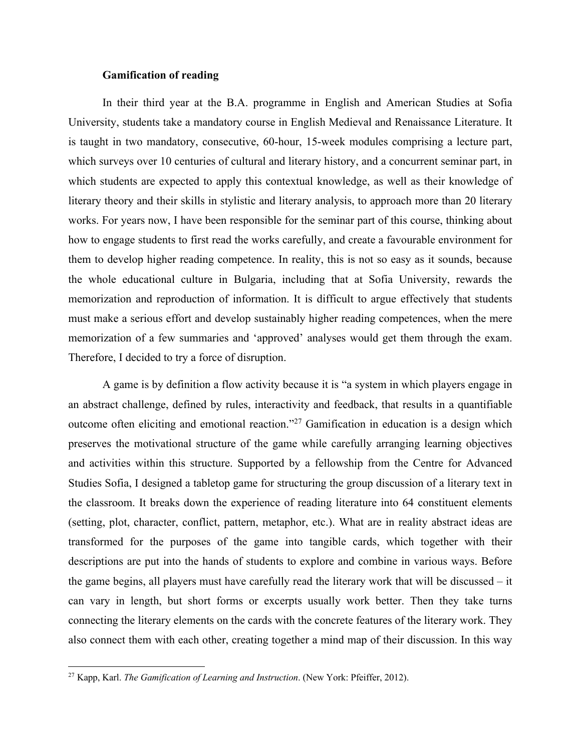# **Gamification of reading**

In their third year at the B.A. programme in English and American Studies at Sofia University, students take a mandatory course in English Medieval and Renaissance Literature. It is taught in two mandatory, consecutive, 60-hour, 15-week modules comprising a lecture part, which surveys over 10 centuries of cultural and literary history, and a concurrent seminar part, in which students are expected to apply this contextual knowledge, as well as their knowledge of literary theory and their skills in stylistic and literary analysis, to approach more than 20 literary works. For years now, I have been responsible for the seminar part of this course, thinking about how to engage students to first read the works carefully, and create a favourable environment for them to develop higher reading competence. In reality, this is not so easy as it sounds, because the whole educational culture in Bulgaria, including that at Sofia University, rewards the memorization and reproduction of information. It is difficult to argue effectively that students must make a serious effort and develop sustainably higher reading competences, when the mere memorization of a few summaries and 'approved' analyses would get them through the exam. Therefore, I decided to try a force of disruption.

A game is by definition a flow activity because it is "a system in which players engage in an abstract challenge, defined by rules, interactivity and feedback, that results in a quantifiable outcome often eliciting and emotional reaction."27 Gamification in education is a design which preserves the motivational structure of the game while carefully arranging learning objectives and activities within this structure. Supported by a fellowship from the Centre for Advanced Studies Sofia, I designed a tabletop game for structuring the group discussion of a literary text in the classroom. It breaks down the experience of reading literature into 64 constituent elements (setting, plot, character, conflict, pattern, metaphor, etc.). What are in reality abstract ideas are transformed for the purposes of the game into tangible cards, which together with their descriptions are put into the hands of students to explore and combine in various ways. Before the game begins, all players must have carefully read the literary work that will be discussed – it can vary in length, but short forms or excerpts usually work better. Then they take turns connecting the literary elements on the cards with the concrete features of the literary work. They also connect them with each other, creating together a mind map of their discussion. In this way

<sup>27</sup> Kapp, Karl. *The Gamification of Learning and Instruction*. (New York: Pfeiffer, 2012).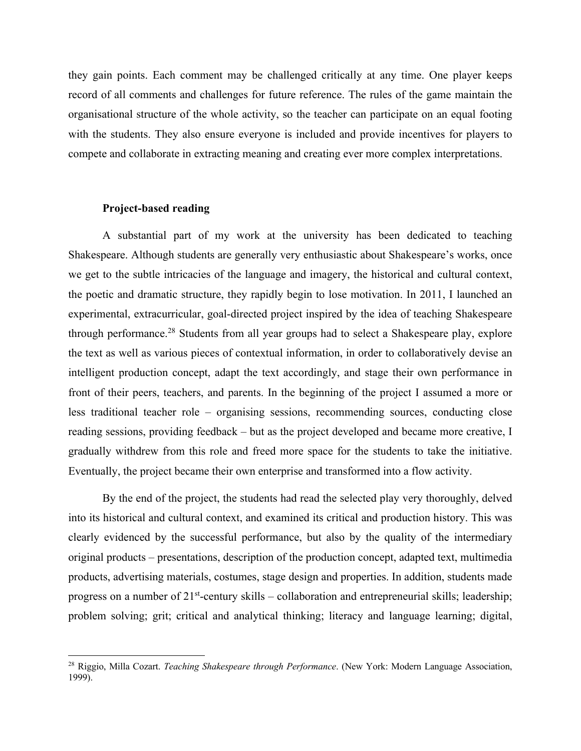they gain points. Each comment may be challenged critically at any time. One player keeps record of all comments and challenges for future reference. The rules of the game maintain the organisational structure of the whole activity, so the teacher can participate on an equal footing with the students. They also ensure everyone is included and provide incentives for players to compete and collaborate in extracting meaning and creating ever more complex interpretations.

# **Project-based reading**

A substantial part of my work at the university has been dedicated to teaching Shakespeare. Although students are generally very enthusiastic about Shakespeare's works, once we get to the subtle intricacies of the language and imagery, the historical and cultural context, the poetic and dramatic structure, they rapidly begin to lose motivation. In 2011, I launched an experimental, extracurricular, goal-directed project inspired by the idea of teaching Shakespeare through performance.<sup>28</sup> Students from all year groups had to select a Shakespeare play, explore the text as well as various pieces of contextual information, in order to collaboratively devise an intelligent production concept, adapt the text accordingly, and stage their own performance in front of their peers, teachers, and parents. In the beginning of the project I assumed a more or less traditional teacher role – organising sessions, recommending sources, conducting close reading sessions, providing feedback – but as the project developed and became more creative, I gradually withdrew from this role and freed more space for the students to take the initiative. Eventually, the project became their own enterprise and transformed into a flow activity.

By the end of the project, the students had read the selected play very thoroughly, delved into its historical and cultural context, and examined its critical and production history. This was clearly evidenced by the successful performance, but also by the quality of the intermediary original products – presentations, description of the production concept, adapted text, multimedia products, advertising materials, costumes, stage design and properties. In addition, students made progress on a number of  $21^{st}$ -century skills – collaboration and entrepreneurial skills; leadership; problem solving; grit; critical and analytical thinking; literacy and language learning; digital,

<sup>28</sup> Riggio, Milla Cozart. *Teaching Shakespeare through Performance*. (New York: Modern Language Association, 1999).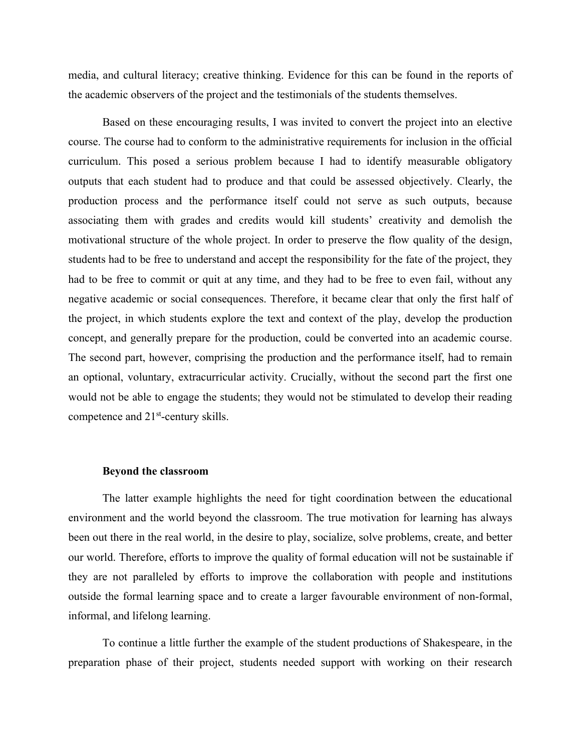media, and cultural literacy; creative thinking. Evidence for this can be found in the reports of the academic observers of the project and the testimonials of the students themselves.

Based on these encouraging results, I was invited to convert the project into an elective course. The course had to conform to the administrative requirements for inclusion in the official curriculum. This posed a serious problem because I had to identify measurable obligatory outputs that each student had to produce and that could be assessed objectively. Clearly, the production process and the performance itself could not serve as such outputs, because associating them with grades and credits would kill students' creativity and demolish the motivational structure of the whole project. In order to preserve the flow quality of the design, students had to be free to understand and accept the responsibility for the fate of the project, they had to be free to commit or quit at any time, and they had to be free to even fail, without any negative academic or social consequences. Therefore, it became clear that only the first half of the project, in which students explore the text and context of the play, develop the production concept, and generally prepare for the production, could be converted into an academic course. The second part, however, comprising the production and the performance itself, had to remain an optional, voluntary, extracurricular activity. Crucially, without the second part the first one would not be able to engage the students; they would not be stimulated to develop their reading competence and 21st-century skills.

#### **Beyond the classroom**

The latter example highlights the need for tight coordination between the educational environment and the world beyond the classroom. The true motivation for learning has always been out there in the real world, in the desire to play, socialize, solve problems, create, and better our world. Therefore, efforts to improve the quality of formal education will not be sustainable if they are not paralleled by efforts to improve the collaboration with people and institutions outside the formal learning space and to create a larger favourable environment of non-formal, informal, and lifelong learning.

To continue a little further the example of the student productions of Shakespeare, in the preparation phase of their project, students needed support with working on their research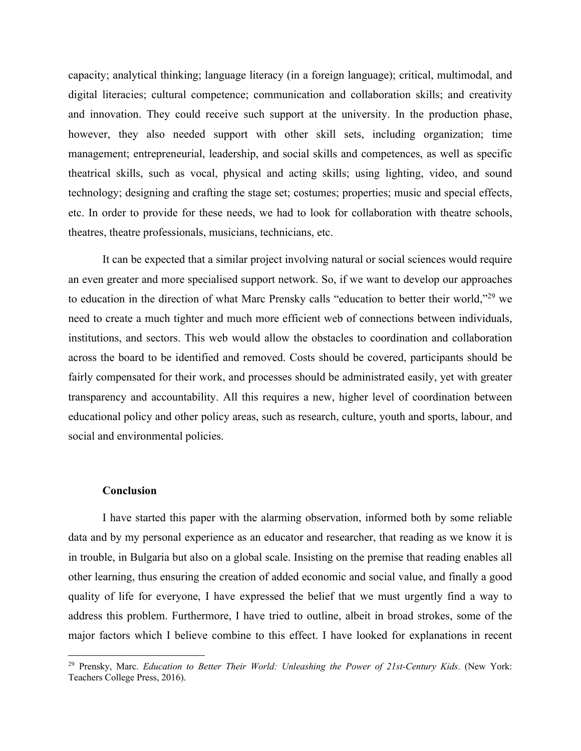capacity; analytical thinking; language literacy (in a foreign language); critical, multimodal, and digital literacies; cultural competence; communication and collaboration skills; and creativity and innovation. They could receive such support at the university. In the production phase, however, they also needed support with other skill sets, including organization; time management; entrepreneurial, leadership, and social skills and competences, as well as specific theatrical skills, such as vocal, physical and acting skills; using lighting, video, and sound technology; designing and crafting the stage set; costumes; properties; music and special effects, etc. In order to provide for these needs, we had to look for collaboration with theatre schools, theatres, theatre professionals, musicians, technicians, etc.

It can be expected that a similar project involving natural or social sciences would require an even greater and more specialised support network. So, if we want to develop our approaches to education in the direction of what Marc Prensky calls "education to better their world,"29 we need to create a much tighter and much more efficient web of connections between individuals, institutions, and sectors. This web would allow the obstacles to coordination and collaboration across the board to be identified and removed. Costs should be covered, participants should be fairly compensated for their work, and processes should be administrated easily, yet with greater transparency and accountability. All this requires a new, higher level of coordination between educational policy and other policy areas, such as research, culture, youth and sports, labour, and social and environmental policies.

# **Conclusion**

I have started this paper with the alarming observation, informed both by some reliable data and by my personal experience as an educator and researcher, that reading as we know it is in trouble, in Bulgaria but also on a global scale. Insisting on the premise that reading enables all other learning, thus ensuring the creation of added economic and social value, and finally a good quality of life for everyone, I have expressed the belief that we must urgently find a way to address this problem. Furthermore, I have tried to outline, albeit in broad strokes, some of the major factors which I believe combine to this effect. I have looked for explanations in recent

<sup>29</sup> Prensky, Marc. *Education to Better Their World: Unleashing the Power of 21st-Century Kids*. (New York: Teachers College Press, 2016).